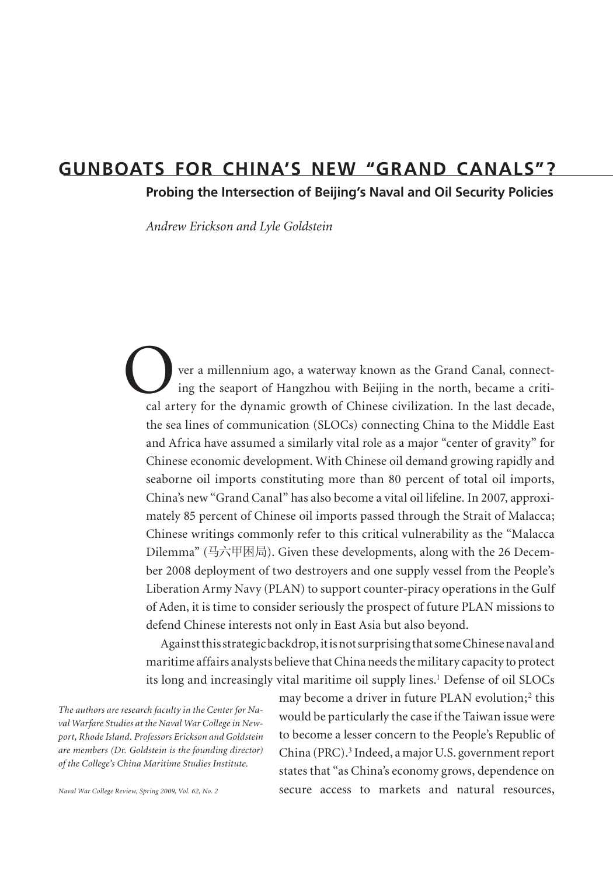# **gunboats for china's new "grand canals"?**

**Probing the Intersection of Beijing's Naval and Oil Security Policies**

*Andrew Erickson and Lyle Goldstein*

ver a millennium ago, a waterway known as the Grand Canal, connecting the seaport of Hangzhou with Beijing in the north, became a critical artery for the dynamic growth of Chinese civilization. In the last decade, the sea lines of communication (SLOCs) connecting China to the Middle East and Africa have assumed a similarly vital role as a major "center of gravity" for Chinese economic development. With Chinese oil demand growing rapidly and seaborne oil imports constituting more than 80 percent of total oil imports, China's new "Grand Canal" has also become a vital oil lifeline. In 2007, approximately 85 percent of Chinese oil imports passed through the Strait of Malacca; Chinese writings commonly refer to this critical vulnerability as the "Malacca Dilemma" (马六甲困局). Given these developments, along with the 26 December 2008 deployment of two destroyers and one supply vessel from the People's Liberation Army Navy (PLAN) to support counter-piracy operations in the Gulf of Aden, it is time to consider seriously the prospect of future PLAN missions to defend Chinese interests not only in East Asia but also beyond. O calar

Against this strategic backdrop, it is not surprising that some Chinese naval and maritime affairs analysts believe that China needs the military capacity to protect its long and increasingly vital maritime oil supply lines.<sup>1</sup> Defense of oil SLOCs

*The authors are research faculty in the Center for Naval Warfare Studies at the Naval War College in Newport, Rhode Island. Professors Erickson and Goldstein are members (Dr. Goldstein is the founding director) of the College's China Maritime Studies Institute.* 

may become a driver in future PLAN evolution;<sup>2</sup> this would be particularly the case if the Taiwan issue were to become a lesser concern to the People's Republic of China (PRC).<sup>3</sup> Indeed, a major U.S. government report states that "as China's economy grows, dependence on secure access to markets and natural resources,

*Naval War College Review, Spring 2009, Vol. 62, No. 2*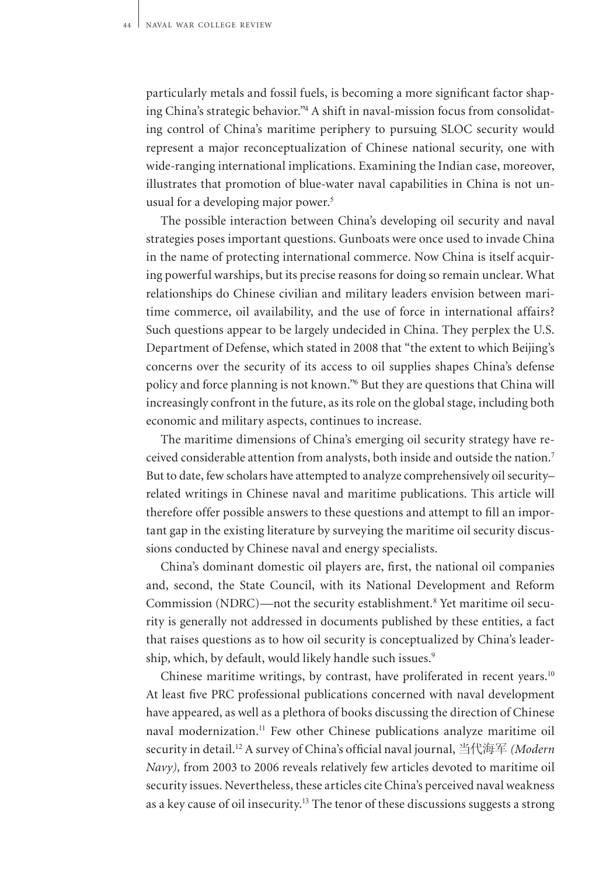particularly metals and fossil fuels, is becoming a more significant factor shaping China's strategic behavior."<sup>4</sup> A shift in naval-mission focus from consolidating control of China's maritime periphery to pursuing SLOC security would represent a major reconceptualization of Chinese national security, one with wide-ranging international implications. Examining the Indian case, moreover, illustrates that promotion of blue-water naval capabilities in China is not unusual for a developing major power.<sup>5</sup>

The possible interaction between China's developing oil security and naval strategies poses important questions. Gunboats were once used to invade China in the name of protecting international commerce. Now China is itself acquiring powerful warships, but its precise reasons for doing so remain unclear. What relationships do Chinese civilian and military leaders envision between maritime commerce, oil availability, and the use of force in international affairs? Such questions appear to be largely undecided in China. They perplex the U.S. Department of Defense, which stated in 2008 that "the extent to which Beijing's concerns over the security of its access to oil supplies shapes China's defense policy and force planning is not known."<sup>6</sup> But they are questions that China will increasingly confront in the future, as its role on the global stage, including both economic and military aspects, continues to increase.

The maritime dimensions of China's emerging oil security strategy have received considerable attention from analysts, both inside and outside the nation.<sup>7</sup> But to date, few scholars have attempted to analyze comprehensively oil security– related writings in Chinese naval and maritime publications. This article will therefore offer possible answers to these questions and attempt to fill an important gap in the existing literature by surveying the maritime oil security discussions conducted by Chinese naval and energy specialists.

China's dominant domestic oil players are, first, the national oil companies and, second, the State Council, with its National Development and Reform Commission (NDRC)—not the security establishment.<sup>8</sup> Yet maritime oil security is generally not addressed in documents published by these entities, a fact that raises questions as to how oil security is conceptualized by China's leadership, which, by default, would likely handle such issues.<sup>9</sup>

Chinese maritime writings, by contrast, have proliferated in recent years.<sup>10</sup> At least five PRC professional publications concerned with naval development have appeared, as well as a plethora of books discussing the direction of Chinese naval modernization.<sup>11</sup> Few other Chinese publications analyze maritime oil security in detail.<sup>12</sup> A survey of China's official naval journal, 当代海军 *(Modern Navy),* from 2003 to 2006 reveals relatively few articles devoted to maritime oil security issues. Nevertheless, these articles cite China's perceived naval weakness as a key cause of oil insecurity.13 The tenor of these discussions suggests a strong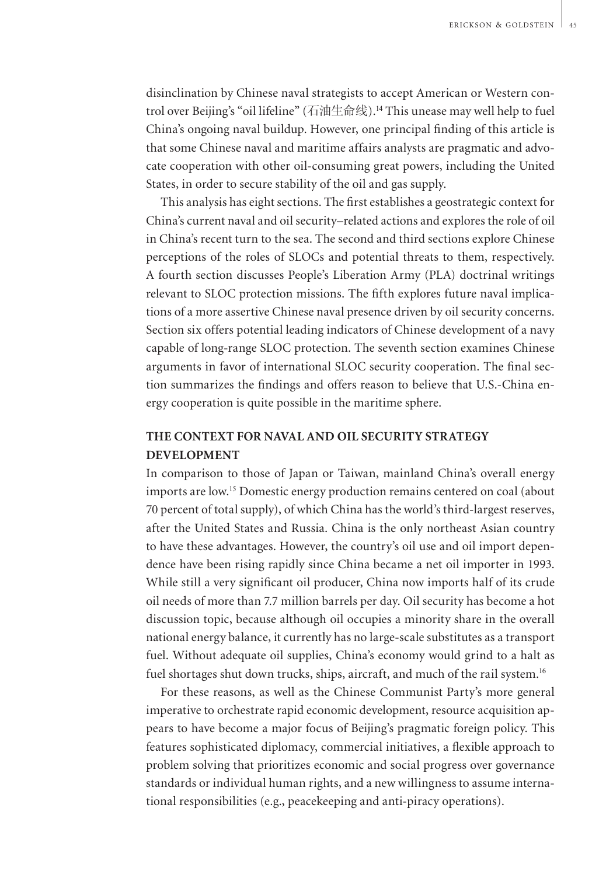disinclination by Chinese naval strategists to accept American or Western control over Beijing's "oil lifeline" (石油生命线).<sup>14</sup> This unease may well help to fuel China's ongoing naval buildup. However, one principal finding of this article is that some Chinese naval and maritime affairs analysts are pragmatic and advocate cooperation with other oil-consuming great powers, including the United States, in order to secure stability of the oil and gas supply.

This analysis has eight sections. The first establishes a geostrategic context for China's current naval and oil security–related actions and explores the role of oil in China's recent turn to the sea. The second and third sections explore Chinese perceptions of the roles of SLOCs and potential threats to them, respectively. A fourth section discusses People's Liberation Army (PLA) doctrinal writings relevant to SLOC protection missions. The fifth explores future naval implications of a more assertive Chinese naval presence driven by oil security concerns. Section six offers potential leading indicators of Chinese development of a navy capable of long-range SLOC protection. The seventh section examines Chinese arguments in favor of international SLOC security cooperation. The final section summarizes the findings and offers reason to believe that U.S.-China energy cooperation is quite possible in the maritime sphere.

### **The Context for Naval and Oil Security Strategy Development**

In comparison to those of Japan or Taiwan, mainland China's overall energy imports are low.<sup>15</sup> Domestic energy production remains centered on coal (about 70 percent of total supply), of which China has the world's third-largest reserves, after the United States and Russia. China is the only northeast Asian country to have these advantages. However, the country's oil use and oil import dependence have been rising rapidly since China became a net oil importer in 1993. While still a very significant oil producer, China now imports half of its crude oil needs of more than 7.7 million barrels per day. Oil security has become a hot discussion topic, because although oil occupies a minority share in the overall national energy balance, it currently has no large-scale substitutes as a transport fuel. Without adequate oil supplies, China's economy would grind to a halt as fuel shortages shut down trucks, ships, aircraft, and much of the rail system.<sup>16</sup>

For these reasons, as well as the Chinese Communist Party's more general imperative to orchestrate rapid economic development, resource acquisition appears to have become a major focus of Beijing's pragmatic foreign policy. This features sophisticated diplomacy, commercial initiatives, a flexible approach to problem solving that prioritizes economic and social progress over governance standards or individual human rights, and a new willingness to assume international responsibilities (e.g., peacekeeping and anti-piracy operations).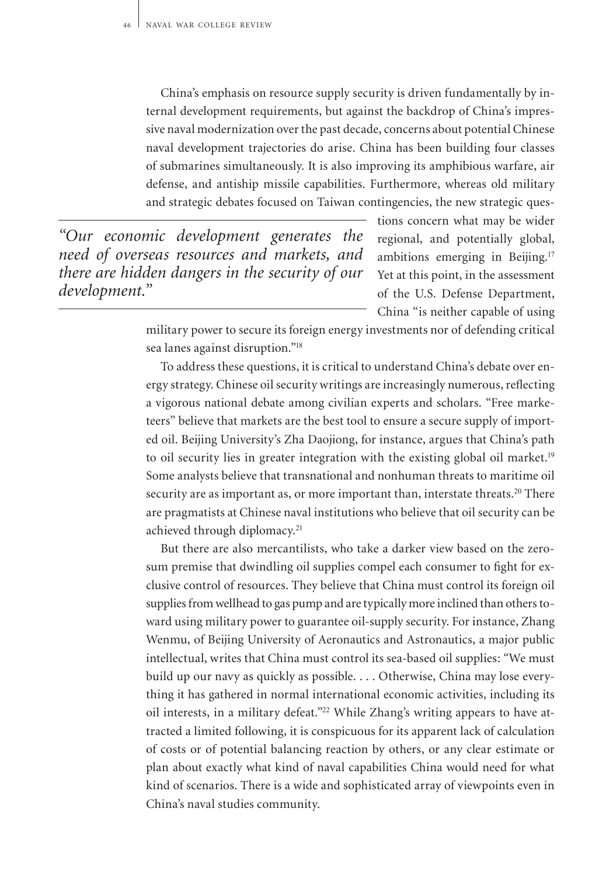China's emphasis on resource supply security is driven fundamentally by internal development requirements, but against the backdrop of China's impressive naval modernization over the past decade, concerns about potential Chinese naval development trajectories do arise. China has been building four classes of submarines simultaneously. It is also improving its amphibious warfare, air defense, and antiship missile capabilities. Furthermore, whereas old military and strategic debates focused on Taiwan contingencies, the new strategic ques-

*"Our economic development generates the need of overseas resources and markets, and there are hidden dangers in the security of our development."*

tions concern what may be wider regional, and potentially global, ambitions emerging in Beijing.<sup>17</sup> Yet at this point, in the assessment of the U.S. Defense Department, China "is neither capable of using

military power to secure its foreign energy investments nor of defending critical sea lanes against disruption."<sup>18</sup>

To address these questions, it is critical to understand China's debate over energy strategy. Chinese oil security writings are increasingly numerous, reflecting a vigorous national debate among civilian experts and scholars. "Free marketeers" believe that markets are the best tool to ensure a secure supply of imported oil. Beijing University's Zha Daojiong, for instance, argues that China's path to oil security lies in greater integration with the existing global oil market.<sup>19</sup> Some analysts believe that transnational and nonhuman threats to maritime oil security are as important as, or more important than, interstate threats.<sup>20</sup> There are pragmatists at Chinese naval institutions who believe that oil security can be achieved through diplomacy.<sup>21</sup>

But there are also mercantilists, who take a darker view based on the zerosum premise that dwindling oil supplies compel each consumer to fight for exclusive control of resources. They believe that China must control its foreign oil supplies from wellhead to gas pump and are typically more inclined than others toward using military power to guarantee oil-supply security. For instance, Zhang Wenmu, of Beijing University of Aeronautics and Astronautics, a major public intellectual, writes that China must control its sea-based oil supplies: "We must build up our navy as quickly as possible. . . . Otherwise, China may lose everything it has gathered in normal international economic activities, including its oil interests, in a military defeat."<sup>22</sup> While Zhang's writing appears to have attracted a limited following, it is conspicuous for its apparent lack of calculation of costs or of potential balancing reaction by others, or any clear estimate or plan about exactly what kind of naval capabilities China would need for what kind of scenarios. There is a wide and sophisticated array of viewpoints even in China's naval studies community.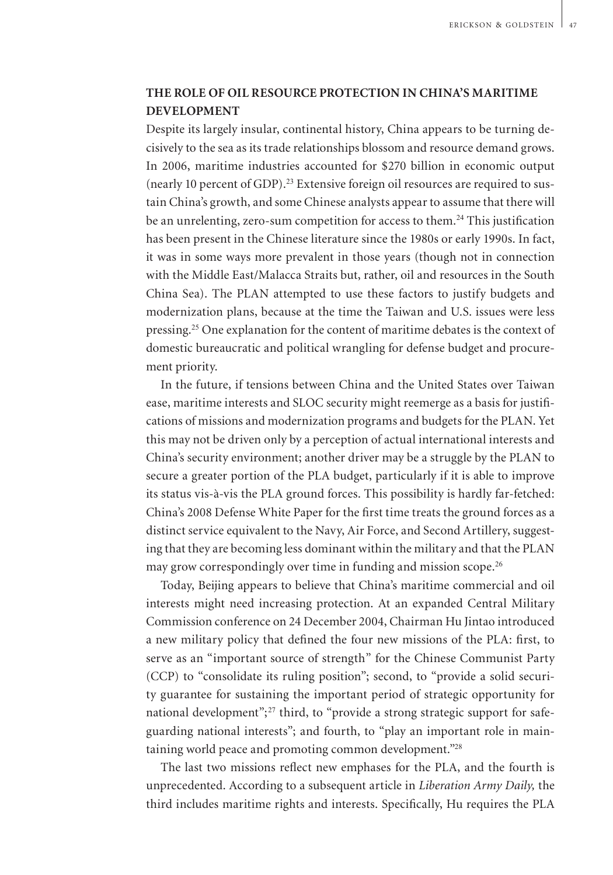## **The Role of Oil Resource Protection in China's Maritime Development**

Despite its largely insular, continental history, China appears to be turning decisively to the sea as its trade relationships blossom and resource demand grows. In 2006, maritime industries accounted for \$270 billion in economic output (nearly 10 percent of GDP).23 Extensive foreign oil resources are required to sustain China's growth, and some Chinese analysts appear to assume that there will be an unrelenting, zero-sum competition for access to them.<sup>24</sup> This justification has been present in the Chinese literature since the 1980s or early 1990s. In fact, it was in some ways more prevalent in those years (though not in connection with the Middle East/Malacca Straits but, rather, oil and resources in the South China Sea). The PLAN attempted to use these factors to justify budgets and modernization plans, because at the time the Taiwan and U.S. issues were less pressing.<sup>25</sup> One explanation for the content of maritime debates is the context of domestic bureaucratic and political wrangling for defense budget and procurement priority.

In the future, if tensions between China and the United States over Taiwan ease, maritime interests and SLOC security might reemerge as a basis for justifications of missions and modernization programs and budgets for the PLAN. Yet this may not be driven only by a perception of actual international interests and China's security environment; another driver may be a struggle by the PLAN to secure a greater portion of the PLA budget, particularly if it is able to improve its status vis-à-vis the PLA ground forces. This possibility is hardly far-fetched: China's 2008 Defense White Paper for the first time treats the ground forces as a distinct service equivalent to the Navy, Air Force, and Second Artillery, suggesting that they are becoming less dominant within the military and that the PLAN may grow correspondingly over time in funding and mission scope.<sup>26</sup>

Today, Beijing appears to believe that China's maritime commercial and oil interests might need increasing protection. At an expanded Central Military Commission conference on 24 December 2004, Chairman Hu Jintao introduced a new military policy that defined the four new missions of the PLA: first, to serve as an "important source of strength" for the Chinese Communist Party (CCP) to "consolidate its ruling position"; second, to "provide a solid security guarantee for sustaining the important period of strategic opportunity for national development";<sup>27</sup> third, to "provide a strong strategic support for safeguarding national interests"; and fourth, to "play an important role in maintaining world peace and promoting common development."<sup>28</sup>

The last two missions reflect new emphases for the PLA, and the fourth is unprecedented. According to a subsequent article in *Liberation Army Daily,* the third includes maritime rights and interests. Specifically, Hu requires the PLA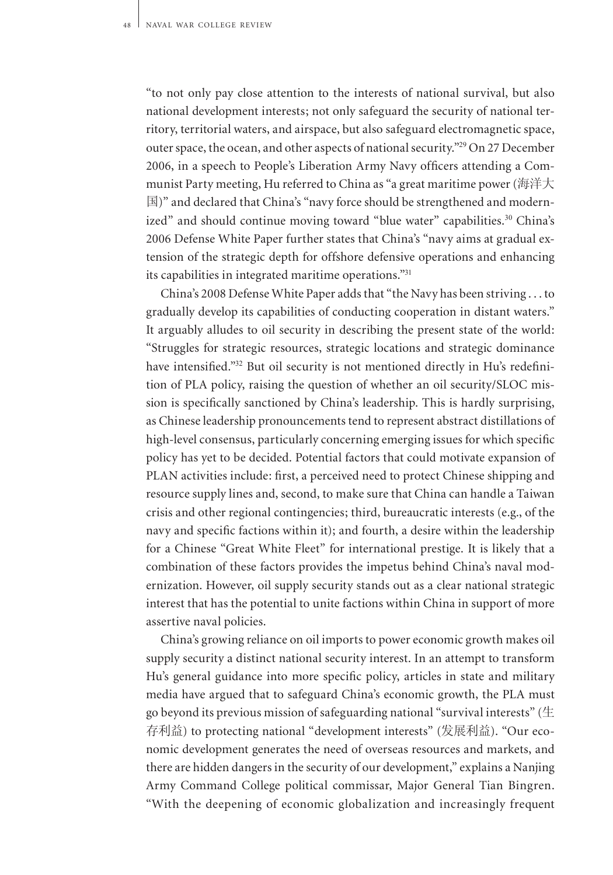"to not only pay close attention to the interests of national survival, but also national development interests; not only safeguard the security of national territory, territorial waters, and airspace, but also safeguard electromagnetic space, outer space, the ocean, and other aspects of national security."<sup>29</sup> On 27 December 2006, in a speech to People's Liberation Army Navy officers attending a Communist Party meeting, Hu referred to China as "a great maritime power (海洋大 国)" and declared that China's "navy force should be strengthened and modernized" and should continue moving toward "blue water" capabilities.<sup>30</sup> China's 2006 Defense White Paper further states that China's "navy aims at gradual extension of the strategic depth for offshore defensive operations and enhancing its capabilities in integrated maritime operations."<sup>31</sup>

China's 2008 Defense White Paper adds that "the Navy has been striving . . . to gradually develop its capabilities of conducting cooperation in distant waters." It arguably alludes to oil security in describing the present state of the world: "Struggles for strategic resources, strategic locations and strategic dominance have intensified."32 But oil security is not mentioned directly in Hu's redefinition of PLA policy, raising the question of whether an oil security/SLOC mission is specifically sanctioned by China's leadership. This is hardly surprising, as Chinese leadership pronouncements tend to represent abstract distillations of high-level consensus, particularly concerning emerging issues for which specific policy has yet to be decided. Potential factors that could motivate expansion of PLAN activities include: first, a perceived need to protect Chinese shipping and resource supply lines and, second, to make sure that China can handle a Taiwan crisis and other regional contingencies; third, bureaucratic interests (e.g., of the navy and specific factions within it); and fourth, a desire within the leadership for a Chinese "Great White Fleet" for international prestige. It is likely that a combination of these factors provides the impetus behind China's naval modernization. However, oil supply security stands out as a clear national strategic interest that has the potential to unite factions within China in support of more assertive naval policies.

China's growing reliance on oil imports to power economic growth makes oil supply security a distinct national security interest. In an attempt to transform Hu's general guidance into more specific policy, articles in state and military media have argued that to safeguard China's economic growth, the PLA must go beyond its previous mission of safeguarding national "survival interests" ( $\pm$ 存利益) to protecting national "development interests" (发展利益). "Our economic development generates the need of overseas resources and markets, and there are hidden dangers in the security of our development," explains a Nanjing Army Command College political commissar, Major General Tian Bingren. "With the deepening of economic globalization and increasingly frequent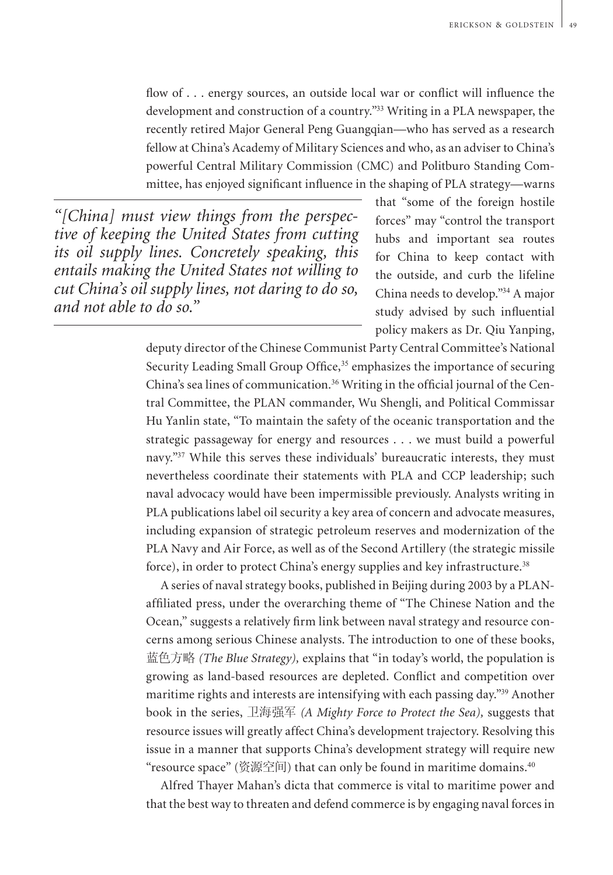flow of . . . energy sources, an outside local war or conflict will influence the development and construction of a country."<sup>33</sup> Writing in a PLA newspaper, the recently retired Major General Peng Guangqian—who has served as a research fellow at China's Academy of Military Sciences and who, as an adviser to China's powerful Central Military Commission (CMC) and Politburo Standing Committee, has enjoyed significant influence in the shaping of PLA strategy—warns

*"[China] must view things from the perspective of keeping the United States from cutting its oil supply lines. Concretely speaking, this entails making the United States not willing to cut China's oil supply lines, not daring to do so, and not able to do so."*

that "some of the foreign hostile forces" may "control the transport hubs and important sea routes for China to keep contact with the outside, and curb the lifeline China needs to develop."<sup>34</sup> A major study advised by such influential policy makers as Dr. Qiu Yanping,

deputy director of the Chinese Communist Party Central Committee's National Security Leading Small Group Office,<sup>35</sup> emphasizes the importance of securing China's sea lines of communication.36 Writing in the official journal of the Central Committee, the PLAN commander, Wu Shengli, and Political Commissar Hu Yanlin state, "To maintain the safety of the oceanic transportation and the strategic passageway for energy and resources . . . we must build a powerful navy."<sup>37</sup> While this serves these individuals' bureaucratic interests, they must nevertheless coordinate their statements with PLA and CCP leadership; such naval advocacy would have been impermissible previously. Analysts writing in PLA publications label oil security a key area of concern and advocate measures, including expansion of strategic petroleum reserves and modernization of the PLA Navy and Air Force, as well as of the Second Artillery (the strategic missile force), in order to protect China's energy supplies and key infrastructure.<sup>38</sup>

A series of naval strategy books, published in Beijing during 2003 by a PLANaffiliated press, under the overarching theme of "The Chinese Nation and the Ocean," suggests a relatively firm link between naval strategy and resource concerns among serious Chinese analysts. The introduction to one of these books, 蓝色方略 *(The Blue Strategy),* explains that "in today's world, the population is growing as land-based resources are depleted. Conflict and competition over maritime rights and interests are intensifying with each passing day."<sup>39</sup> Another book in the series, 卫海强军 *(A Mighty Force to Protect the Sea),* suggests that resource issues will greatly affect China's development trajectory. Resolving this issue in a manner that supports China's development strategy will require new "resource space" (资源空间) that can only be found in maritime domains. $^{40}$ 

Alfred Thayer Mahan's dicta that commerce is vital to maritime power and that the best way to threaten and defend commerce is by engaging naval forces in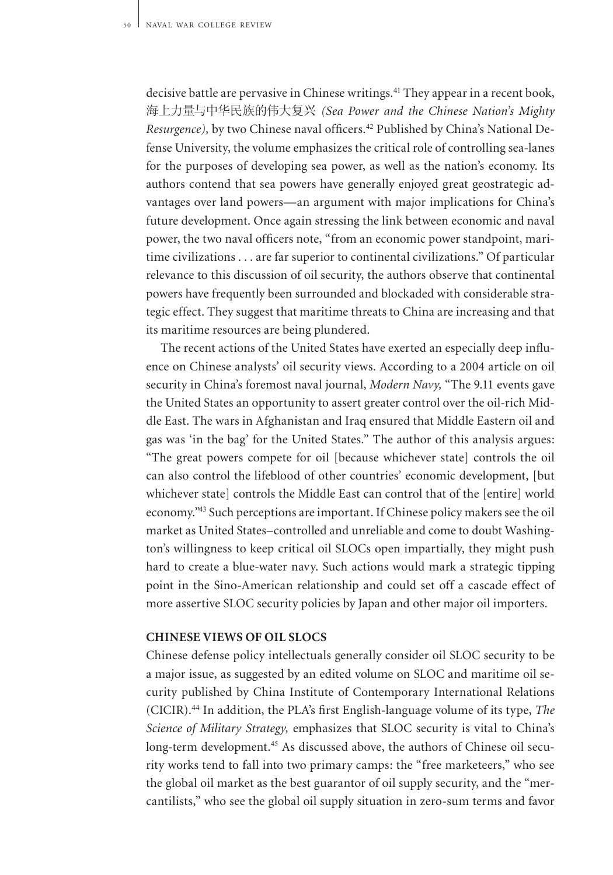decisive battle are pervasive in Chinese writings.<sup>41</sup> They appear in a recent book, 海上力量与中华民族的伟大复兴 *(Sea Power and the Chinese Nation's Mighty Resurgence),* by two Chinese naval officers.42 Published by China's National Defense University, the volume emphasizes the critical role of controlling sea-lanes for the purposes of developing sea power, as well as the nation's economy. Its authors contend that sea powers have generally enjoyed great geostrategic advantages over land powers—an argument with major implications for China's future development. Once again stressing the link between economic and naval power, the two naval officers note, "from an economic power standpoint, maritime civilizations . . . are far superior to continental civilizations." Of particular relevance to this discussion of oil security, the authors observe that continental powers have frequently been surrounded and blockaded with considerable strategic effect. They suggest that maritime threats to China are increasing and that its maritime resources are being plundered.

The recent actions of the United States have exerted an especially deep influence on Chinese analysts' oil security views. According to a 2004 article on oil security in China's foremost naval journal, *Modern Navy,* "The 9.11 events gave the United States an opportunity to assert greater control over the oil-rich Middle East. The wars in Afghanistan and Iraq ensured that Middle Eastern oil and gas was 'in the bag' for the United States." The author of this analysis argues: "The great powers compete for oil [because whichever state] controls the oil can also control the lifeblood of other countries' economic development, [but whichever state] controls the Middle East can control that of the [entire] world economy."<sup>43</sup> Such perceptions are important. If Chinese policy makers see the oil market as United States–controlled and unreliable and come to doubt Washington's willingness to keep critical oil SLOCs open impartially, they might push hard to create a blue-water navy. Such actions would mark a strategic tipping point in the Sino-American relationship and could set off a cascade effect of more assertive SLOC security policies by Japan and other major oil importers.

#### **Chinese Views of Oil SLOCs**

Chinese defense policy intellectuals generally consider oil SLOC security to be a major issue, as suggested by an edited volume on SLOC and maritime oil security published by China Institute of Contemporary International Relations (CICIR).<sup>44</sup> In addition, the PLA's first English-language volume of its type, *The Science of Military Strategy,* emphasizes that SLOC security is vital to China's long-term development.<sup>45</sup> As discussed above, the authors of Chinese oil security works tend to fall into two primary camps: the "free marketeers," who see the global oil market as the best guarantor of oil supply security, and the "mercantilists," who see the global oil supply situation in zero-sum terms and favor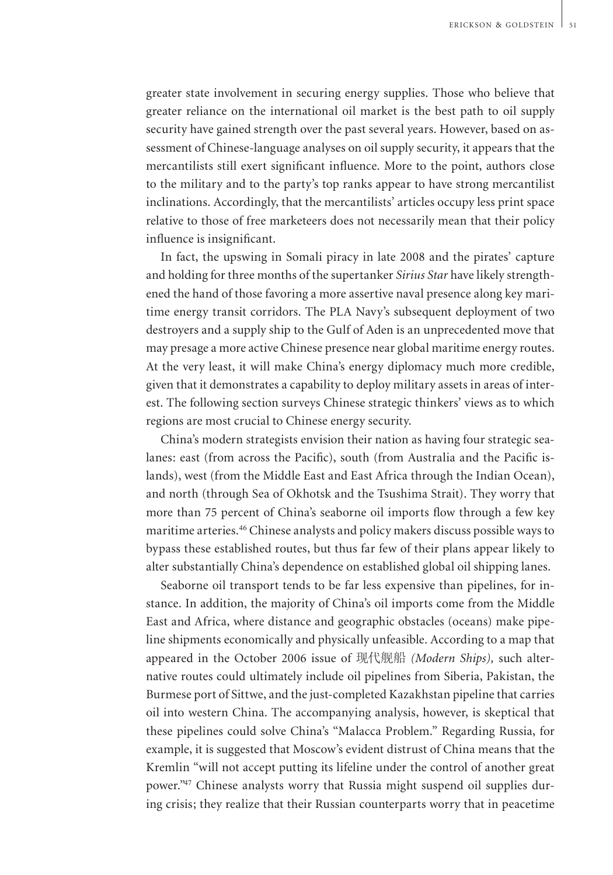greater state involvement in securing energy supplies. Those who believe that greater reliance on the international oil market is the best path to oil supply security have gained strength over the past several years. However, based on assessment of Chinese-language analyses on oil supply security, it appears that the mercantilists still exert significant influence. More to the point, authors close to the military and to the party's top ranks appear to have strong mercantilist inclinations. Accordingly, that the mercantilists' articles occupy less print space relative to those of free marketeers does not necessarily mean that their policy influence is insignificant.

In fact, the upswing in Somali piracy in late 2008 and the pirates' capture and holding for three months of the supertanker *Sirius Star* have likely strengthened the hand of those favoring a more assertive naval presence along key maritime energy transit corridors. The PLA Navy's subsequent deployment of two destroyers and a supply ship to the Gulf of Aden is an unprecedented move that may presage a more active Chinese presence near global maritime energy routes. At the very least, it will make China's energy diplomacy much more credible, given that it demonstrates a capability to deploy military assets in areas of interest. The following section surveys Chinese strategic thinkers' views as to which regions are most crucial to Chinese energy security.

China's modern strategists envision their nation as having four strategic sealanes: east (from across the Pacific), south (from Australia and the Pacific islands), west (from the Middle East and East Africa through the Indian Ocean), and north (through Sea of Okhotsk and the Tsushima Strait). They worry that more than 75 percent of China's seaborne oil imports flow through a few key maritime arteries.<sup>46</sup> Chinese analysts and policy makers discuss possible ways to bypass these established routes, but thus far few of their plans appear likely to alter substantially China's dependence on established global oil shipping lanes.

Seaborne oil transport tends to be far less expensive than pipelines, for instance. In addition, the majority of China's oil imports come from the Middle East and Africa, where distance and geographic obstacles (oceans) make pipeline shipments economically and physically unfeasible. According to a map that appeared in the October 2006 issue of 现代舰船 *(Modern Ships),* such alternative routes could ultimately include oil pipelines from Siberia, Pakistan, the Burmese port of Sittwe, and the just-completed Kazakhstan pipeline that carries oil into western China. The accompanying analysis, however, is skeptical that these pipelines could solve China's "Malacca Problem." Regarding Russia, for example, it is suggested that Moscow's evident distrust of China means that the Kremlin "will not accept putting its lifeline under the control of another great power."47 Chinese analysts worry that Russia might suspend oil supplies during crisis; they realize that their Russian counterparts worry that in peacetime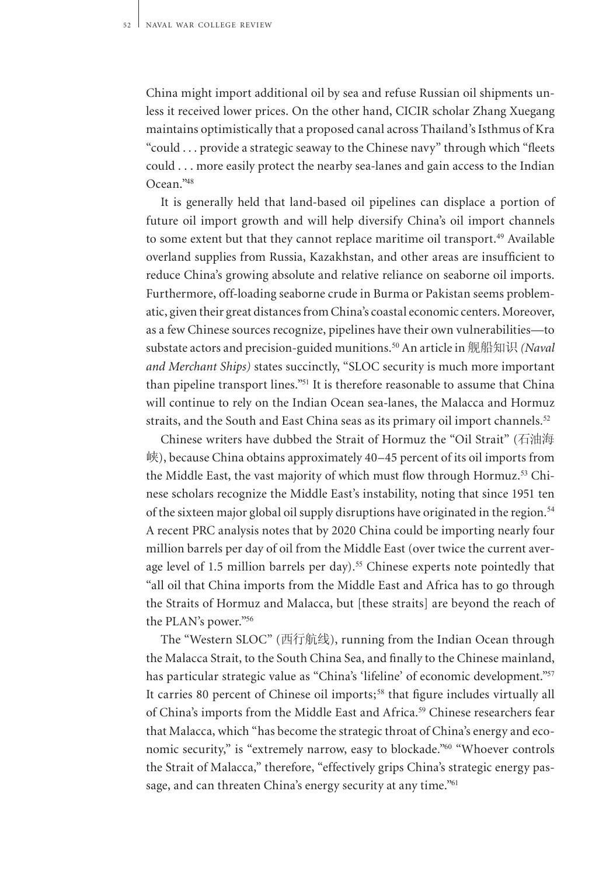China might import additional oil by sea and refuse Russian oil shipments unless it received lower prices. On the other hand, CICIR scholar Zhang Xuegang maintains optimistically that a proposed canal across Thailand's Isthmus of Kra "could . . . provide a strategic seaway to the Chinese navy" through which "fleets could . . . more easily protect the nearby sea-lanes and gain access to the Indian Ocean."<sup>48</sup>

It is generally held that land-based oil pipelines can displace a portion of future oil import growth and will help diversify China's oil import channels to some extent but that they cannot replace maritime oil transport.<sup>49</sup> Available overland supplies from Russia, Kazakhstan, and other areas are insufficient to reduce China's growing absolute and relative reliance on seaborne oil imports. Furthermore, off-loading seaborne crude in Burma or Pakistan seems problematic, given their great distances from China's coastal economic centers. Moreover, as a few Chinese sources recognize, pipelines have their own vulnerabilities—to substate actors and precision-guided munitions.<sup>50</sup> An article in 舰船知识 *(Naval and Merchant Ships)* states succinctly, "SLOC security is much more important than pipeline transport lines."<sup>51</sup> It is therefore reasonable to assume that China will continue to rely on the Indian Ocean sea-lanes, the Malacca and Hormuz straits, and the South and East China seas as its primary oil import channels.<sup>52</sup>

Chinese writers have dubbed the Strait of Hormuz the "Oil Strait" (石油海 峡), because China obtains approximately 40–45 percent of its oil imports from the Middle East, the vast majority of which must flow through Hormuz.<sup>53</sup> Chinese scholars recognize the Middle East's instability, noting that since 1951 ten of the sixteen major global oil supply disruptions have originated in the region.<sup>54</sup> A recent PRC analysis notes that by 2020 China could be importing nearly four million barrels per day of oil from the Middle East (over twice the current average level of 1.5 million barrels per day).<sup>55</sup> Chinese experts note pointedly that "all oil that China imports from the Middle East and Africa has to go through the Straits of Hormuz and Malacca, but [these straits] are beyond the reach of the PLAN's power."<sup>56</sup>

The "Western SLOC" (西行航线), running from the Indian Ocean through the Malacca Strait, to the South China Sea, and finally to the Chinese mainland, has particular strategic value as "China's 'lifeline' of economic development."57 It carries 80 percent of Chinese oil imports;<sup>58</sup> that figure includes virtually all of China's imports from the Middle East and Africa.<sup>59</sup> Chinese researchers fear that Malacca, which "has become the strategic throat of China's energy and economic security," is "extremely narrow, easy to blockade."<sup>60</sup> "Whoever controls the Strait of Malacca," therefore, "effectively grips China's strategic energy passage, and can threaten China's energy security at any time."<sup>61</sup>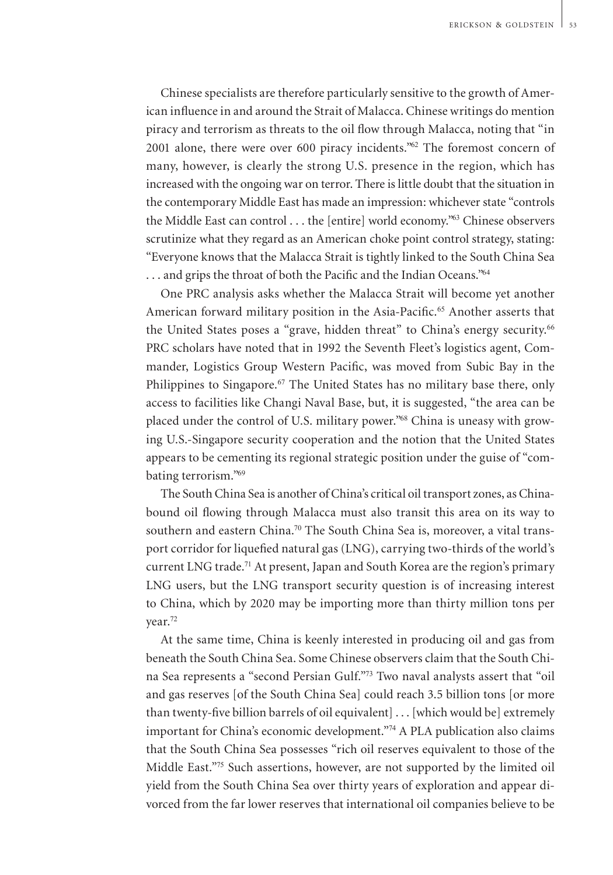Chinese specialists are therefore particularly sensitive to the growth of American influence in and around the Strait of Malacca. Chinese writings do mention piracy and terrorism as threats to the oil flow through Malacca, noting that "in 2001 alone, there were over 600 piracy incidents."<sup>62</sup> The foremost concern of many, however, is clearly the strong U.S. presence in the region, which has increased with the ongoing war on terror. There is little doubt that the situation in the contemporary Middle East has made an impression: whichever state "controls the Middle East can control . . . the [entire] world economy."<sup>63</sup> Chinese observers scrutinize what they regard as an American choke point control strategy, stating: "Everyone knows that the Malacca Strait is tightly linked to the South China Sea ... and grips the throat of both the Pacific and the Indian Oceans."64

One PRC analysis asks whether the Malacca Strait will become yet another American forward military position in the Asia-Pacific.<sup>65</sup> Another asserts that the United States poses a "grave, hidden threat" to China's energy security.<sup>66</sup> PRC scholars have noted that in 1992 the Seventh Fleet's logistics agent, Commander, Logistics Group Western Pacific, was moved from Subic Bay in the Philippines to Singapore.<sup>67</sup> The United States has no military base there, only access to facilities like Changi Naval Base, but, it is suggested, "the area can be placed under the control of U.S. military power."68 China is uneasy with growing U.S.-Singapore security cooperation and the notion that the United States appears to be cementing its regional strategic position under the guise of "combating terrorism."<sup>69</sup>

The South China Sea is another of China's critical oil transport zones, as Chinabound oil flowing through Malacca must also transit this area on its way to southern and eastern China.<sup>70</sup> The South China Sea is, moreover, a vital transport corridor for liquefied natural gas (LNG), carrying two-thirds of the world's current LNG trade.<sup>71</sup> At present, Japan and South Korea are the region's primary LNG users, but the LNG transport security question is of increasing interest to China, which by 2020 may be importing more than thirty million tons per year.<sup>72</sup>

At the same time, China is keenly interested in producing oil and gas from beneath the South China Sea. Some Chinese observers claim that the South China Sea represents a "second Persian Gulf."<sup>73</sup> Two naval analysts assert that "oil and gas reserves [of the South China Sea] could reach 3.5 billion tons [or more than twenty-five billion barrels of oil equivalent] . . . [which would be] extremely important for China's economic development."<sup>74</sup> A PLA publication also claims that the South China Sea possesses "rich oil reserves equivalent to those of the Middle East."<sup>75</sup> Such assertions, however, are not supported by the limited oil yield from the South China Sea over thirty years of exploration and appear divorced from the far lower reserves that international oil companies believe to be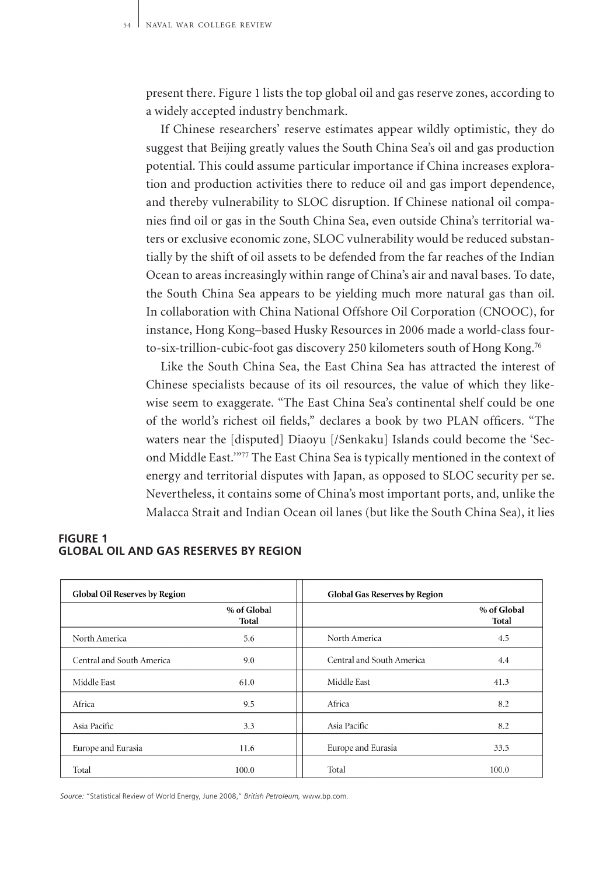present there. Figure 1 lists the top global oil and gas reserve zones, according to a widely accepted industry benchmark.

If Chinese researchers' reserve estimates appear wildly optimistic, they do suggest that Beijing greatly values the South China Sea's oil and gas production potential. This could assume particular importance if China increases exploration and production activities there to reduce oil and gas import dependence, and thereby vulnerability to SLOC disruption. If Chinese national oil companies find oil or gas in the South China Sea, even outside China's territorial waters or exclusive economic zone, SLOC vulnerability would be reduced substantially by the shift of oil assets to be defended from the far reaches of the Indian Ocean to areas increasingly within range of China's air and naval bases. To date, the South China Sea appears to be yielding much more natural gas than oil. In collaboration with China National Offshore Oil Corporation (CNOOC), for instance, Hong Kong–based Husky Resources in 2006 made a world-class fourto-six-trillion-cubic-foot gas discovery 250 kilometers south of Hong Kong.<sup>76</sup>

Like the South China Sea, the East China Sea has attracted the interest of Chinese specialists because of its oil resources, the value of which they likewise seem to exaggerate. "The East China Sea's continental shelf could be one of the world's richest oil fields," declares a book by two PLAN officers. "The waters near the [disputed] Diaoyu [/Senkaku] Islands could become the 'Second Middle East.'"<sup>77</sup> The East China Sea is typically mentioned in the context of energy and territorial disputes with Japan, as opposed to SLOC security per se. Nevertheless, it contains some of China's most important ports, and, unlike the Malacca Strait and Indian Ocean oil lanes (but like the South China Sea), it lies

| <b>Global Oil Reserves by Region</b> |                      | Global Gas Reserves by Region |                      |
|--------------------------------------|----------------------|-------------------------------|----------------------|
|                                      | % of Global<br>Total |                               | % of Global<br>Total |
| North America                        | 5.6                  | North America                 | 4.5                  |
| Central and South America            | 9.0                  | Central and South America     | 4.4                  |
| Middle East                          | 61.0                 | Middle East                   | 41.3                 |
| Africa                               | 9.5                  | Africa                        | 8.2                  |
| Asia Pacific                         | 3.3                  | Asia Pacific                  | 8.2                  |
| Europe and Eurasia                   | 11.6                 | Europe and Eurasia            | 33.5                 |
| Total                                | 100.0                | Total                         | 100.0                |

#### **figure 1 global Oil and Gas Reserves by Region**

*Source:* "Statistical Review of World Energy, June 2008," *British Petroleum,* www.bp.com.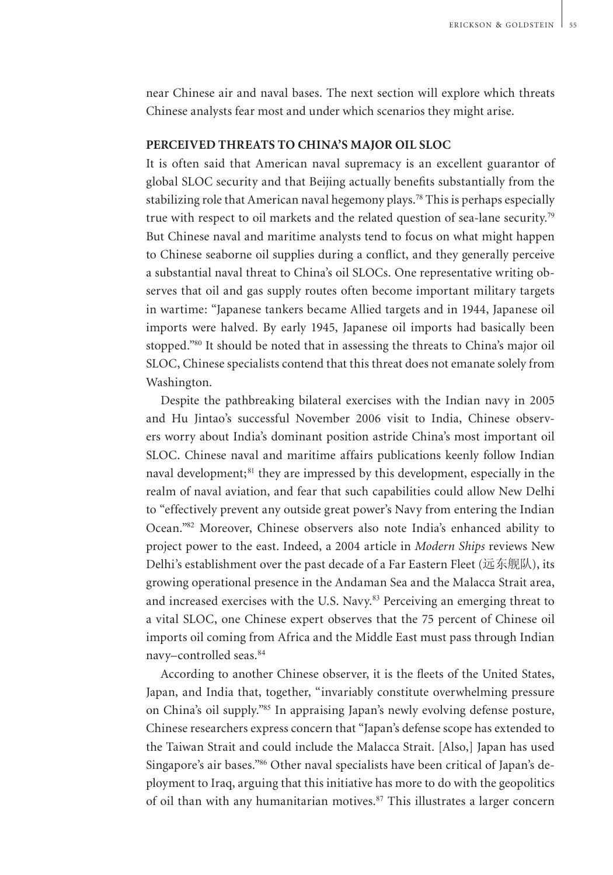near Chinese air and naval bases. The next section will explore which threats Chinese analysts fear most and under which scenarios they might arise.

### **Perceived Threats to China's Major Oil SLOC**

It is often said that American naval supremacy is an excellent guarantor of global SLOC security and that Beijing actually benefits substantially from the stabilizing role that American naval hegemony plays.<sup>78</sup> This is perhaps especially true with respect to oil markets and the related question of sea-lane security.<sup>79</sup> But Chinese naval and maritime analysts tend to focus on what might happen to Chinese seaborne oil supplies during a conflict, and they generally perceive a substantial naval threat to China's oil SLOCs. One representative writing observes that oil and gas supply routes often become important military targets in wartime: "Japanese tankers became Allied targets and in 1944, Japanese oil imports were halved. By early 1945, Japanese oil imports had basically been stopped."<sup>80</sup> It should be noted that in assessing the threats to China's major oil SLOC, Chinese specialists contend that this threat does not emanate solely from Washington.

Despite the pathbreaking bilateral exercises with the Indian navy in 2005 and Hu Jintao's successful November 2006 visit to India, Chinese observers worry about India's dominant position astride China's most important oil SLOC. Chinese naval and maritime affairs publications keenly follow Indian naval development;<sup>81</sup> they are impressed by this development, especially in the realm of naval aviation, and fear that such capabilities could allow New Delhi to "effectively prevent any outside great power's Navy from entering the Indian Ocean."<sup>82</sup> Moreover, Chinese observers also note India's enhanced ability to project power to the east. Indeed, a 2004 article in *Modern Ships* reviews New Delhi's establishment over the past decade of a Far Eastern Fleet (远东舰队), its growing operational presence in the Andaman Sea and the Malacca Strait area, and increased exercises with the U.S. Navy.<sup>83</sup> Perceiving an emerging threat to a vital SLOC, one Chinese expert observes that the 75 percent of Chinese oil imports oil coming from Africa and the Middle East must pass through Indian navy–controlled seas.<sup>84</sup>

According to another Chinese observer, it is the fleets of the United States, Japan, and India that, together, "invariably constitute overwhelming pressure on China's oil supply."<sup>85</sup> In appraising Japan's newly evolving defense posture, Chinese researchers express concern that "Japan's defense scope has extended to the Taiwan Strait and could include the Malacca Strait. [Also,] Japan has used Singapore's air bases."86 Other naval specialists have been critical of Japan's deployment to Iraq, arguing that this initiative has more to do with the geopolitics of oil than with any humanitarian motives.<sup>87</sup> This illustrates a larger concern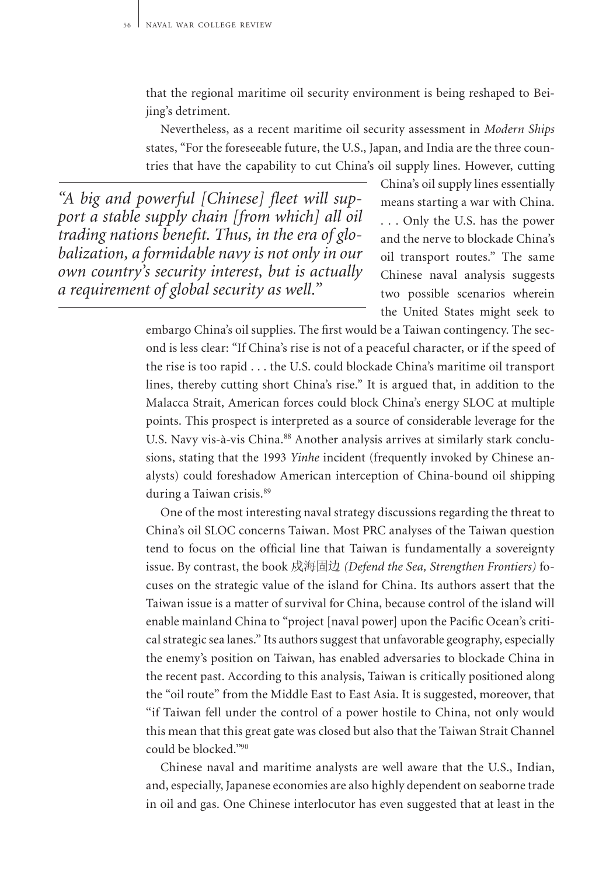that the regional maritime oil security environment is being reshaped to Beijing's detriment.

Nevertheless, as a recent maritime oil security assessment in *Modern Ships*  states, "For the foreseeable future, the U.S., Japan, and India are the three countries that have the capability to cut China's oil supply lines. However, cutting

*"A big and powerful [Chinese] fleet will support a stable supply chain [from which] all oil trading nations benefit. Thus, in the era of globalization, a formidable navy is not only in our own country's security interest, but is actually a requirement of global security as well."*

China's oil supply lines essentially means starting a war with China. . . . Only the U.S. has the power and the nerve to blockade China's oil transport routes." The same Chinese naval analysis suggests two possible scenarios wherein the United States might seek to

embargo China's oil supplies. The first would be a Taiwan contingency. The second is less clear: "If China's rise is not of a peaceful character, or if the speed of the rise is too rapid . . . the U.S. could blockade China's maritime oil transport lines, thereby cutting short China's rise." It is argued that, in addition to the Malacca Strait, American forces could block China's energy SLOC at multiple points. This prospect is interpreted as a source of considerable leverage for the U.S. Navy vis-à-vis China.<sup>88</sup> Another analysis arrives at similarly stark conclusions, stating that the 1993 *Yinhe* incident (frequently invoked by Chinese analysts) could foreshadow American interception of China-bound oil shipping during a Taiwan crisis.<sup>89</sup>

One of the most interesting naval strategy discussions regarding the threat to China's oil SLOC concerns Taiwan. Most PRC analyses of the Taiwan question tend to focus on the official line that Taiwan is fundamentally a sovereignty issue. By contrast, the book 戍海固边 *(Defend the Sea, Strengthen Frontiers)* focuses on the strategic value of the island for China. Its authors assert that the Taiwan issue is a matter of survival for China, because control of the island will enable mainland China to "project [naval power] upon the Pacific Ocean's critical strategic sea lanes." Its authors suggest that unfavorable geography, especially the enemy's position on Taiwan, has enabled adversaries to blockade China in the recent past. According to this analysis, Taiwan is critically positioned along the "oil route" from the Middle East to East Asia. It is suggested, moreover, that "if Taiwan fell under the control of a power hostile to China, not only would this mean that this great gate was closed but also that the Taiwan Strait Channel could be blocked."<sup>90</sup>

Chinese naval and maritime analysts are well aware that the U.S., Indian, and, especially, Japanese economies are also highly dependent on seaborne trade in oil and gas. One Chinese interlocutor has even suggested that at least in the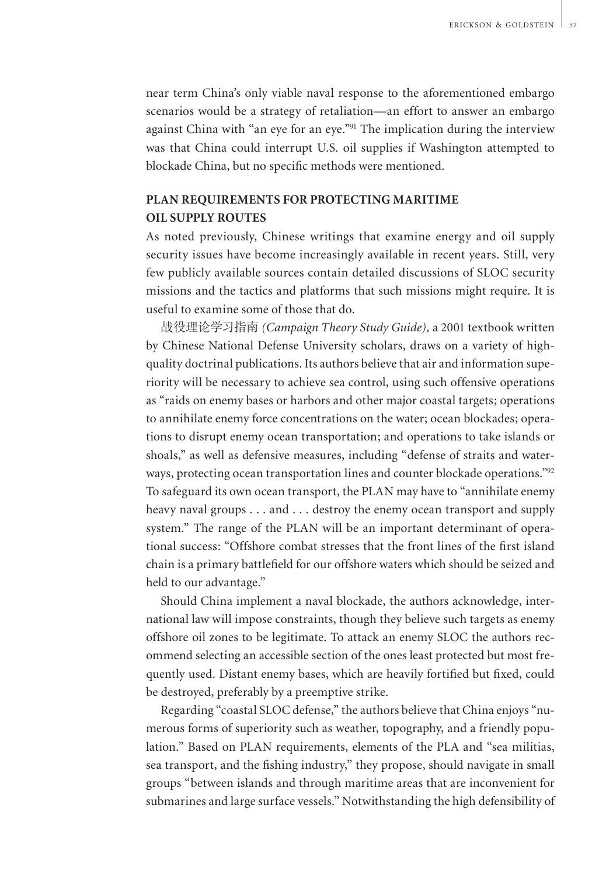near term China's only viable naval response to the aforementioned embargo scenarios would be a strategy of retaliation—an effort to answer an embargo against China with "an eye for an eye."<sup>91</sup> The implication during the interview was that China could interrupt U.S. oil supplies if Washington attempted to blockade China, but no specific methods were mentioned.

# **PLAN Requirements for Protecting Maritime Oil Supply Routes**

As noted previously, Chinese writings that examine energy and oil supply security issues have become increasingly available in recent years. Still, very few publicly available sources contain detailed discussions of SLOC security missions and the tactics and platforms that such missions might require. It is useful to examine some of those that do.

战役理论学习指南 *(Campaign Theory Study Guide),* a 2001 textbook written by Chinese National Defense University scholars, draws on a variety of highquality doctrinal publications. Its authors believe that air and information superiority will be necessary to achieve sea control, using such offensive operations as "raids on enemy bases or harbors and other major coastal targets; operations to annihilate enemy force concentrations on the water; ocean blockades; operations to disrupt enemy ocean transportation; and operations to take islands or shoals," as well as defensive measures, including "defense of straits and waterways, protecting ocean transportation lines and counter blockade operations."<sup>92</sup> To safeguard its own ocean transport, the PLAN may have to "annihilate enemy heavy naval groups . . . and . . . destroy the enemy ocean transport and supply system." The range of the PLAN will be an important determinant of operational success: "Offshore combat stresses that the front lines of the first island chain is a primary battlefield for our offshore waters which should be seized and held to our advantage."

Should China implement a naval blockade, the authors acknowledge, international law will impose constraints, though they believe such targets as enemy offshore oil zones to be legitimate. To attack an enemy SLOC the authors recommend selecting an accessible section of the ones least protected but most frequently used. Distant enemy bases, which are heavily fortified but fixed, could be destroyed, preferably by a preemptive strike.

Regarding "coastal SLOC defense," the authors believe that China enjoys "numerous forms of superiority such as weather, topography, and a friendly population." Based on PLAN requirements, elements of the PLA and "sea militias, sea transport, and the fishing industry," they propose, should navigate in small groups "between islands and through maritime areas that are inconvenient for submarines and large surface vessels." Notwithstanding the high defensibility of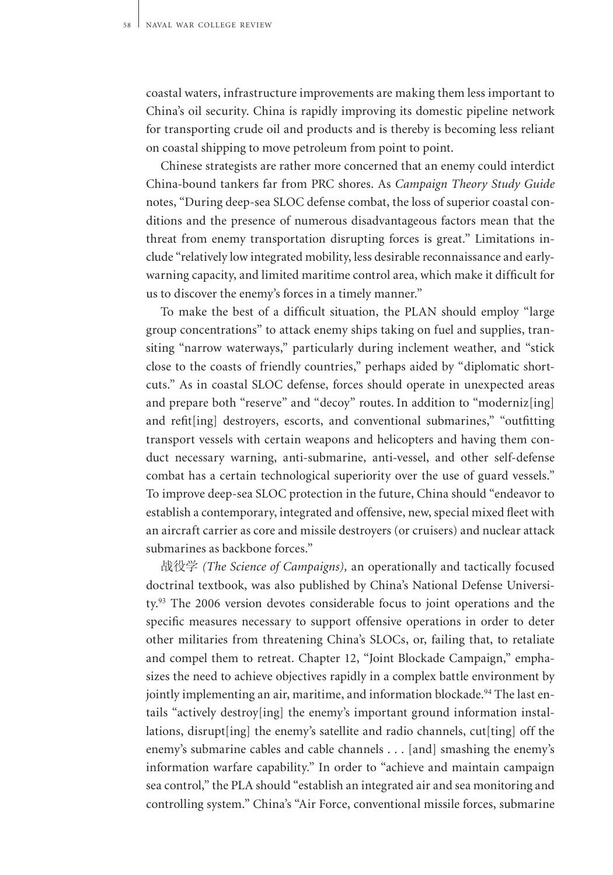coastal waters, infrastructure improvements are making them less important to China's oil security. China is rapidly improving its domestic pipeline network for transporting crude oil and products and is thereby is becoming less reliant on coastal shipping to move petroleum from point to point.

Chinese strategists are rather more concerned that an enemy could interdict China-bound tankers far from PRC shores. As *Campaign Theory Study Guide* notes, "During deep-sea SLOC defense combat, the loss of superior coastal conditions and the presence of numerous disadvantageous factors mean that the threat from enemy transportation disrupting forces is great." Limitations include "relatively low integrated mobility, less desirable reconnaissance and earlywarning capacity, and limited maritime control area, which make it difficult for us to discover the enemy's forces in a timely manner."

To make the best of a difficult situation, the PLAN should employ "large group concentrations" to attack enemy ships taking on fuel and supplies, transiting "narrow waterways," particularly during inclement weather, and "stick close to the coasts of friendly countries," perhaps aided by "diplomatic shortcuts." As in coastal SLOC defense, forces should operate in unexpected areas and prepare both "reserve" and "decoy" routes. In addition to "moderniz[ing] and refit[ing] destroyers, escorts, and conventional submarines," "outfitting transport vessels with certain weapons and helicopters and having them conduct necessary warning, anti-submarine, anti-vessel, and other self-defense combat has a certain technological superiority over the use of guard vessels." To improve deep-sea SLOC protection in the future, China should "endeavor to establish a contemporary, integrated and offensive, new, special mixed fleet with an aircraft carrier as core and missile destroyers (or cruisers) and nuclear attack submarines as backbone forces."

战役学 *(The Science of Campaigns),* an operationally and tactically focused doctrinal textbook, was also published by China's National Defense University.<sup>93</sup> The 2006 version devotes considerable focus to joint operations and the specific measures necessary to support offensive operations in order to deter other militaries from threatening China's SLOCs, or, failing that, to retaliate and compel them to retreat. Chapter 12, "Joint Blockade Campaign," emphasizes the need to achieve objectives rapidly in a complex battle environment by jointly implementing an air, maritime, and information blockade.<sup>94</sup> The last entails "actively destroy[ing] the enemy's important ground information installations, disrupt[ing] the enemy's satellite and radio channels, cut[ting] off the enemy's submarine cables and cable channels . . . [and] smashing the enemy's information warfare capability." In order to "achieve and maintain campaign sea control," the PLA should "establish an integrated air and sea monitoring and controlling system." China's "Air Force, conventional missile forces, submarine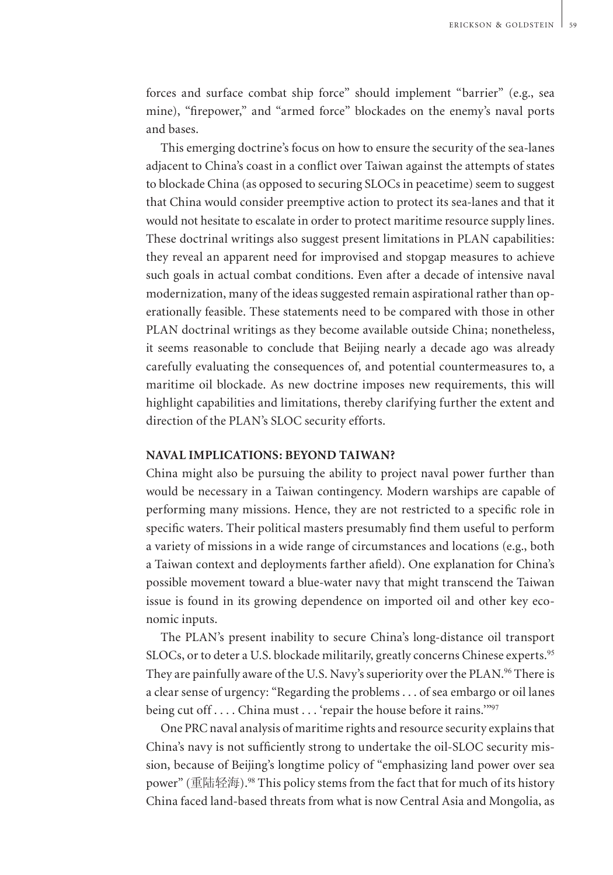forces and surface combat ship force" should implement "barrier" (e.g., sea mine), "firepower," and "armed force" blockades on the enemy's naval ports and bases.

This emerging doctrine's focus on how to ensure the security of the sea-lanes adjacent to China's coast in a conflict over Taiwan against the attempts of states to blockade China (as opposed to securing SLOCs in peacetime) seem to suggest that China would consider preemptive action to protect its sea-lanes and that it would not hesitate to escalate in order to protect maritime resource supply lines. These doctrinal writings also suggest present limitations in PLAN capabilities: they reveal an apparent need for improvised and stopgap measures to achieve such goals in actual combat conditions. Even after a decade of intensive naval modernization, many of the ideas suggested remain aspirational rather than operationally feasible. These statements need to be compared with those in other PLAN doctrinal writings as they become available outside China; nonetheless, it seems reasonable to conclude that Beijing nearly a decade ago was already carefully evaluating the consequences of, and potential countermeasures to, a maritime oil blockade. As new doctrine imposes new requirements, this will highlight capabilities and limitations, thereby clarifying further the extent and direction of the PLAN's SLOC security efforts.

#### **Naval Implications: Beyond Taiwan?**

China might also be pursuing the ability to project naval power further than would be necessary in a Taiwan contingency. Modern warships are capable of performing many missions. Hence, they are not restricted to a specific role in specific waters. Their political masters presumably find them useful to perform a variety of missions in a wide range of circumstances and locations (e.g., both a Taiwan context and deployments farther afield). One explanation for China's possible movement toward a blue-water navy that might transcend the Taiwan issue is found in its growing dependence on imported oil and other key economic inputs.

The PLAN's present inability to secure China's long-distance oil transport SLOCs, or to deter a U.S. blockade militarily, greatly concerns Chinese experts.<sup>95</sup> They are painfully aware of the U.S. Navy's superiority over the PLAN.<sup>96</sup> There is a clear sense of urgency: "Regarding the problems . . . of sea embargo or oil lanes being cut off . . . . China must . . . 'repair the house before it rains.'"<sup>97</sup>

One PRC naval analysis of maritime rights and resource security explains that China's navy is not sufficiently strong to undertake the oil-SLOC security mission, because of Beijing's longtime policy of "emphasizing land power over sea power" (重陆轻海).<sup>98</sup> This policy stems from the fact that for much of its history China faced land-based threats from what is now Central Asia and Mongolia, as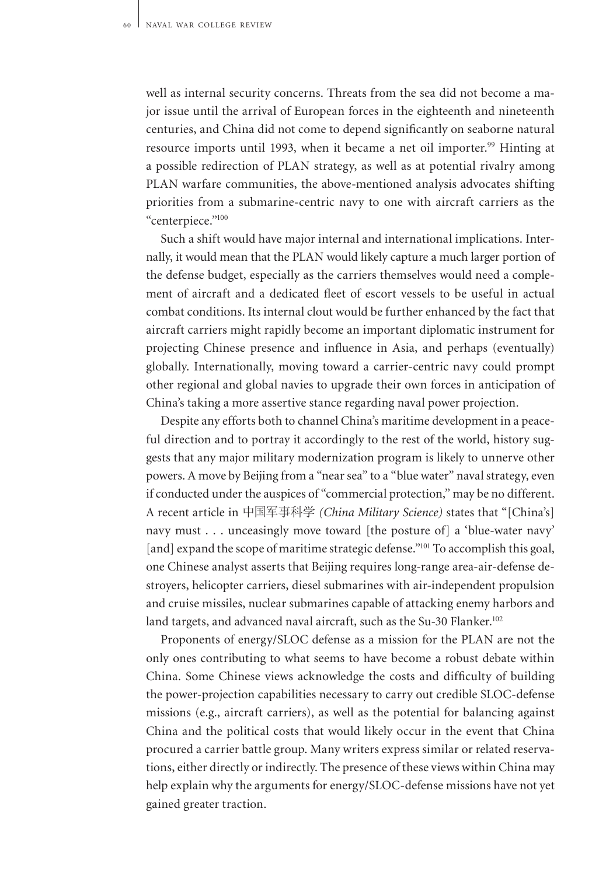well as internal security concerns. Threats from the sea did not become a major issue until the arrival of European forces in the eighteenth and nineteenth centuries, and China did not come to depend significantly on seaborne natural resource imports until 1993, when it became a net oil importer.<sup>99</sup> Hinting at a possible redirection of PLAN strategy, as well as at potential rivalry among PLAN warfare communities, the above-mentioned analysis advocates shifting priorities from a submarine-centric navy to one with aircraft carriers as the "centerpiece."<sup>100</sup>

Such a shift would have major internal and international implications. Internally, it would mean that the PLAN would likely capture a much larger portion of the defense budget, especially as the carriers themselves would need a complement of aircraft and a dedicated fleet of escort vessels to be useful in actual combat conditions. Its internal clout would be further enhanced by the fact that aircraft carriers might rapidly become an important diplomatic instrument for projecting Chinese presence and influence in Asia, and perhaps (eventually) globally. Internationally, moving toward a carrier-centric navy could prompt other regional and global navies to upgrade their own forces in anticipation of China's taking a more assertive stance regarding naval power projection.

Despite any efforts both to channel China's maritime development in a peaceful direction and to portray it accordingly to the rest of the world, history suggests that any major military modernization program is likely to unnerve other powers. A move by Beijing from a "near sea" to a "blue water" naval strategy, even if conducted under the auspices of "commercial protection," may be no different. A recent article in 中国军事科学 *(China Military Science)* states that "[China's] navy must . . . unceasingly move toward [the posture of] a 'blue-water navy' [and] expand the scope of maritime strategic defense."<sup>101</sup> To accomplish this goal, one Chinese analyst asserts that Beijing requires long-range area-air-defense destroyers, helicopter carriers, diesel submarines with air-independent propulsion and cruise missiles, nuclear submarines capable of attacking enemy harbors and land targets, and advanced naval aircraft, such as the Su-30 Flanker.<sup>102</sup>

Proponents of energy/SLOC defense as a mission for the PLAN are not the only ones contributing to what seems to have become a robust debate within China. Some Chinese views acknowledge the costs and difficulty of building the power-projection capabilities necessary to carry out credible SLOC-defense missions (e.g., aircraft carriers), as well as the potential for balancing against China and the political costs that would likely occur in the event that China procured a carrier battle group. Many writers express similar or related reservations, either directly or indirectly. The presence of these views within China may help explain why the arguments for energy/SLOC-defense missions have not yet gained greater traction.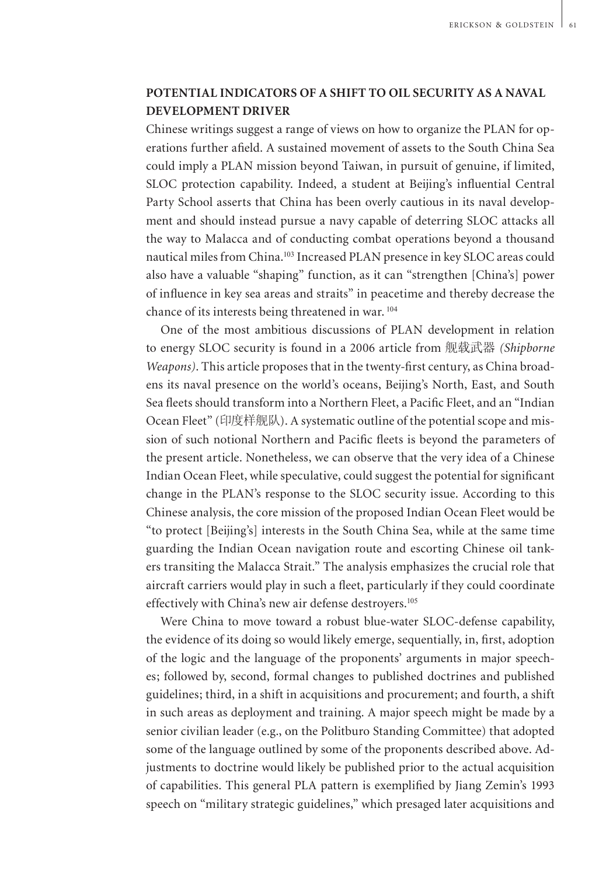## **Potential Indicators of a Shift to Oil Security as a Naval Development Driver**

Chinese writings suggest a range of views on how to organize the PLAN for operations further afield. A sustained movement of assets to the South China Sea could imply a PLAN mission beyond Taiwan, in pursuit of genuine, if limited, SLOC protection capability. Indeed, a student at Beijing's influential Central Party School asserts that China has been overly cautious in its naval development and should instead pursue a navy capable of deterring SLOC attacks all the way to Malacca and of conducting combat operations beyond a thousand nautical miles from China.<sup>103</sup> Increased PLAN presence in key SLOC areas could also have a valuable "shaping" function, as it can "strengthen [China's] power of influence in key sea areas and straits" in peacetime and thereby decrease the chance of its interests being threatened in war.<sup>104</sup>

One of the most ambitious discussions of PLAN development in relation to energy SLOC security is found in a 2006 article from 舰载武器 *(Shipborne Weapons)*. This article proposes that in the twenty-first century, as China broadens its naval presence on the world's oceans, Beijing's North, East, and South Sea fleets should transform into a Northern Fleet, a Pacific Fleet, and an "Indian Ocean Fleet" (印度样舰队). A systematic outline of the potential scope and mission of such notional Northern and Pacific fleets is beyond the parameters of the present article. Nonetheless, we can observe that the very idea of a Chinese Indian Ocean Fleet, while speculative, could suggest the potential for significant change in the PLAN's response to the SLOC security issue. According to this Chinese analysis, the core mission of the proposed Indian Ocean Fleet would be "to protect [Beijing's] interests in the South China Sea, while at the same time guarding the Indian Ocean navigation route and escorting Chinese oil tankers transiting the Malacca Strait." The analysis emphasizes the crucial role that aircraft carriers would play in such a fleet, particularly if they could coordinate effectively with China's new air defense destroyers.<sup>105</sup>

Were China to move toward a robust blue-water SLOC-defense capability, the evidence of its doing so would likely emerge, sequentially, in, first, adoption of the logic and the language of the proponents' arguments in major speeches; followed by, second, formal changes to published doctrines and published guidelines; third, in a shift in acquisitions and procurement; and fourth, a shift in such areas as deployment and training. A major speech might be made by a senior civilian leader (e.g., on the Politburo Standing Committee) that adopted some of the language outlined by some of the proponents described above. Adjustments to doctrine would likely be published prior to the actual acquisition of capabilities. This general PLA pattern is exemplified by Jiang Zemin's 1993 speech on "military strategic guidelines," which presaged later acquisitions and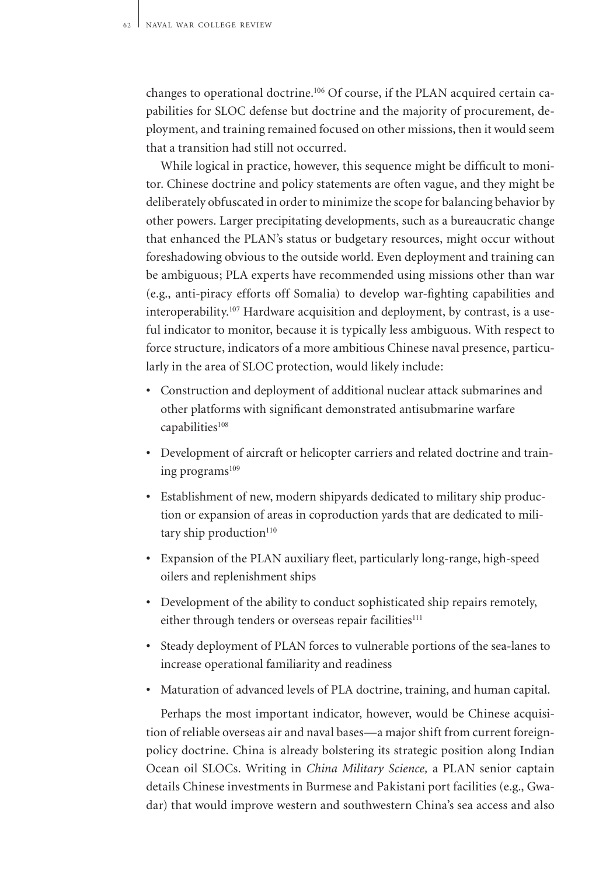changes to operational doctrine.<sup>106</sup> Of course, if the PLAN acquired certain capabilities for SLOC defense but doctrine and the majority of procurement, deployment, and training remained focused on other missions, then it would seem that a transition had still not occurred.

While logical in practice, however, this sequence might be difficult to monitor. Chinese doctrine and policy statements are often vague, and they might be deliberately obfuscated in order to minimize the scope for balancing behavior by other powers. Larger precipitating developments, such as a bureaucratic change that enhanced the PLAN's status or budgetary resources, might occur without foreshadowing obvious to the outside world. Even deployment and training can be ambiguous; PLA experts have recommended using missions other than war (e.g., anti-piracy efforts off Somalia) to develop war-fighting capabilities and interoperability.<sup>107</sup> Hardware acquisition and deployment, by contrast, is a useful indicator to monitor, because it is typically less ambiguous. With respect to force structure, indicators of a more ambitious Chinese naval presence, particularly in the area of SLOC protection, would likely include:

- Construction and deployment of additional nuclear attack submarines and other platforms with significant demonstrated antisubmarine warfare capabilities<sup>108</sup>
- Development of aircraft or helicopter carriers and related doctrine and training programs<sup>109</sup>
- Establishment of new, modern shipyards dedicated to military ship production or expansion of areas in coproduction yards that are dedicated to military ship production $110$
- Expansion of the PLAN auxiliary fleet, particularly long-range, high-speed oilers and replenishment ships
- Development of the ability to conduct sophisticated ship repairs remotely, either through tenders or overseas repair facilities<sup>111</sup>
- Steady deployment of PLAN forces to vulnerable portions of the sea-lanes to increase operational familiarity and readiness
- Maturation of advanced levels of PLA doctrine, training, and human capital.

Perhaps the most important indicator, however, would be Chinese acquisition of reliable overseas air and naval bases—a major shift from current foreignpolicy doctrine. China is already bolstering its strategic position along Indian Ocean oil SLOCs. Writing in *China Military Science,* a PLAN senior captain details Chinese investments in Burmese and Pakistani port facilities (e.g., Gwadar) that would improve western and southwestern China's sea access and also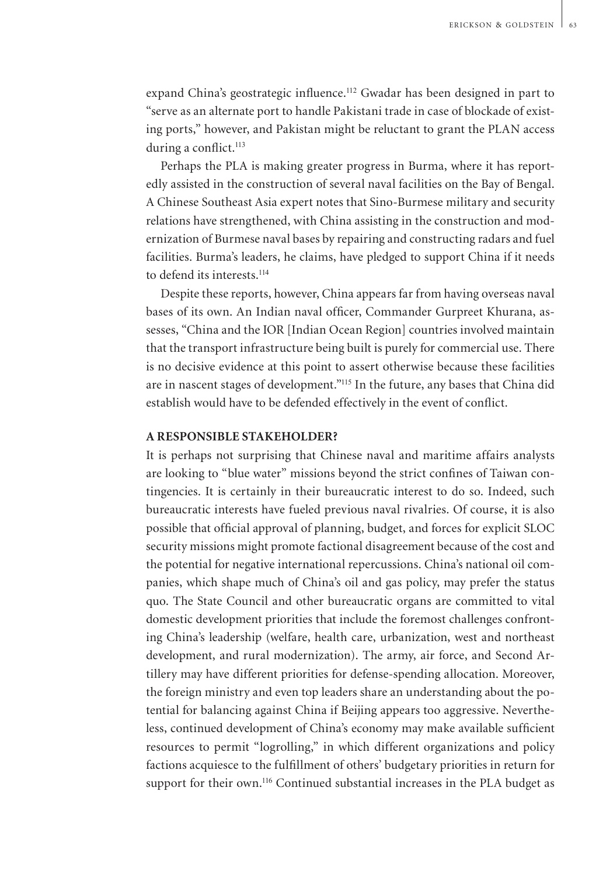expand China's geostrategic influence.<sup>112</sup> Gwadar has been designed in part to "serve as an alternate port to handle Pakistani trade in case of blockade of existing ports," however, and Pakistan might be reluctant to grant the PLAN access during a conflict.<sup>113</sup>

Perhaps the PLA is making greater progress in Burma, where it has reportedly assisted in the construction of several naval facilities on the Bay of Bengal. A Chinese Southeast Asia expert notes that Sino-Burmese military and security relations have strengthened, with China assisting in the construction and modernization of Burmese naval bases by repairing and constructing radars and fuel facilities. Burma's leaders, he claims, have pledged to support China if it needs to defend its interests.<sup>114</sup>

Despite these reports, however, China appears far from having overseas naval bases of its own. An Indian naval officer, Commander Gurpreet Khurana, assesses, "China and the IOR [Indian Ocean Region] countries involved maintain that the transport infrastructure being built is purely for commercial use. There is no decisive evidence at this point to assert otherwise because these facilities are in nascent stages of development."<sup>115</sup> In the future, any bases that China did establish would have to be defended effectively in the event of conflict.

### **A Responsible Stakeholder?**

It is perhaps not surprising that Chinese naval and maritime affairs analysts are looking to "blue water" missions beyond the strict confines of Taiwan contingencies. It is certainly in their bureaucratic interest to do so. Indeed, such bureaucratic interests have fueled previous naval rivalries. Of course, it is also possible that official approval of planning, budget, and forces for explicit SLOC security missions might promote factional disagreement because of the cost and the potential for negative international repercussions. China's national oil companies, which shape much of China's oil and gas policy, may prefer the status quo. The State Council and other bureaucratic organs are committed to vital domestic development priorities that include the foremost challenges confronting China's leadership (welfare, health care, urbanization, west and northeast development, and rural modernization). The army, air force, and Second Artillery may have different priorities for defense-spending allocation. Moreover, the foreign ministry and even top leaders share an understanding about the potential for balancing against China if Beijing appears too aggressive. Nevertheless, continued development of China's economy may make available sufficient resources to permit "logrolling," in which different organizations and policy factions acquiesce to the fulfillment of others' budgetary priorities in return for support for their own.<sup>116</sup> Continued substantial increases in the PLA budget as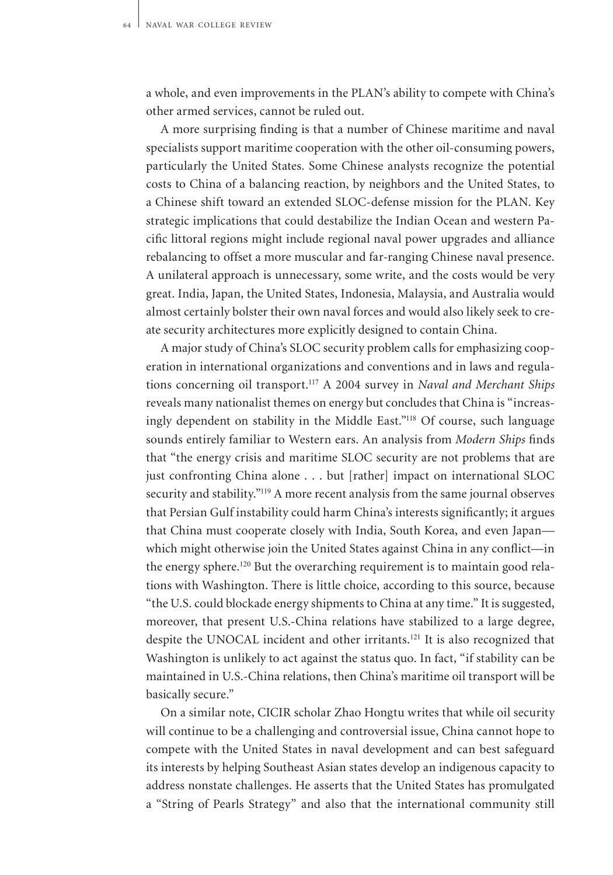a whole, and even improvements in the PLAN's ability to compete with China's other armed services, cannot be ruled out.

A more surprising finding is that a number of Chinese maritime and naval specialists support maritime cooperation with the other oil-consuming powers, particularly the United States. Some Chinese analysts recognize the potential costs to China of a balancing reaction, by neighbors and the United States, to a Chinese shift toward an extended SLOC-defense mission for the PLAN. Key strategic implications that could destabilize the Indian Ocean and western Pacific littoral regions might include regional naval power upgrades and alliance rebalancing to offset a more muscular and far-ranging Chinese naval presence. A unilateral approach is unnecessary, some write, and the costs would be very great. India, Japan, the United States, Indonesia, Malaysia, and Australia would almost certainly bolster their own naval forces and would also likely seek to create security architectures more explicitly designed to contain China.

A major study of China's SLOC security problem calls for emphasizing cooperation in international organizations and conventions and in laws and regulations concerning oil transport.<sup>117</sup> A 2004 survey in *Naval and Merchant Ships* reveals many nationalist themes on energy but concludes that China is "increasingly dependent on stability in the Middle East."<sup>118</sup> Of course, such language sounds entirely familiar to Western ears. An analysis from *Modern Ships* finds that "the energy crisis and maritime SLOC security are not problems that are just confronting China alone . . . but [rather] impact on international SLOC security and stability."<sup>119</sup> A more recent analysis from the same journal observes that Persian Gulf instability could harm China's interests significantly; it argues that China must cooperate closely with India, South Korea, and even Japan which might otherwise join the United States against China in any conflict—in the energy sphere.<sup>120</sup> But the overarching requirement is to maintain good relations with Washington. There is little choice, according to this source, because "the U.S. could blockade energy shipments to China at any time." It is suggested, moreover, that present U.S.-China relations have stabilized to a large degree, despite the UNOCAL incident and other irritants.<sup>121</sup> It is also recognized that Washington is unlikely to act against the status quo. In fact, "if stability can be maintained in U.S.-China relations, then China's maritime oil transport will be basically secure."

On a similar note, CICIR scholar Zhao Hongtu writes that while oil security will continue to be a challenging and controversial issue, China cannot hope to compete with the United States in naval development and can best safeguard its interests by helping Southeast Asian states develop an indigenous capacity to address nonstate challenges. He asserts that the United States has promulgated a "String of Pearls Strategy" and also that the international community still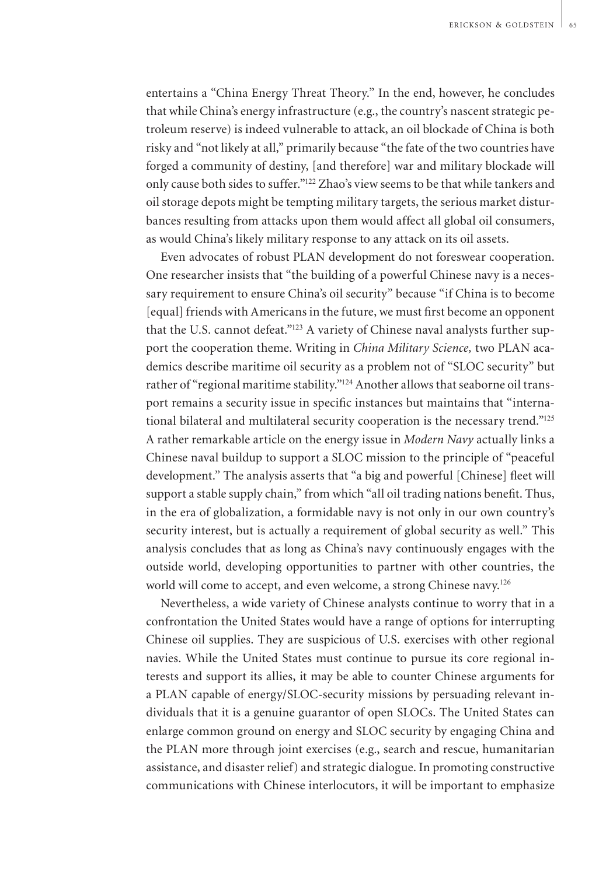entertains a "China Energy Threat Theory." In the end, however, he concludes that while China's energy infrastructure (e.g., the country's nascent strategic petroleum reserve) is indeed vulnerable to attack, an oil blockade of China is both risky and "not likely at all," primarily because "the fate of the two countries have forged a community of destiny, [and therefore] war and military blockade will only cause both sides to suffer."<sup>122</sup> Zhao's view seems to be that while tankers and oil storage depots might be tempting military targets, the serious market disturbances resulting from attacks upon them would affect all global oil consumers, as would China's likely military response to any attack on its oil assets.

Even advocates of robust PLAN development do not foreswear cooperation. One researcher insists that "the building of a powerful Chinese navy is a necessary requirement to ensure China's oil security" because "if China is to become [equal] friends with Americans in the future, we must first become an opponent that the U.S. cannot defeat."<sup>123</sup> A variety of Chinese naval analysts further support the cooperation theme. Writing in *China Military Science,* two PLAN academics describe maritime oil security as a problem not of "SLOC security" but rather of "regional maritime stability."<sup>124</sup> Another allows that seaborne oil transport remains a security issue in specific instances but maintains that "international bilateral and multilateral security cooperation is the necessary trend."<sup>125</sup> A rather remarkable article on the energy issue in *Modern Navy* actually links a Chinese naval buildup to support a SLOC mission to the principle of "peaceful development." The analysis asserts that "a big and powerful [Chinese] fleet will support a stable supply chain," from which "all oil trading nations benefit. Thus, in the era of globalization, a formidable navy is not only in our own country's security interest, but is actually a requirement of global security as well." This analysis concludes that as long as China's navy continuously engages with the outside world, developing opportunities to partner with other countries, the world will come to accept, and even welcome, a strong Chinese navy.<sup>126</sup>

Nevertheless, a wide variety of Chinese analysts continue to worry that in a confrontation the United States would have a range of options for interrupting Chinese oil supplies. They are suspicious of U.S. exercises with other regional navies. While the United States must continue to pursue its core regional interests and support its allies, it may be able to counter Chinese arguments for a PLAN capable of energy/SLOC-security missions by persuading relevant individuals that it is a genuine guarantor of open SLOCs. The United States can enlarge common ground on energy and SLOC security by engaging China and the PLAN more through joint exercises (e.g., search and rescue, humanitarian assistance, and disaster relief) and strategic dialogue. In promoting constructive communications with Chinese interlocutors, it will be important to emphasize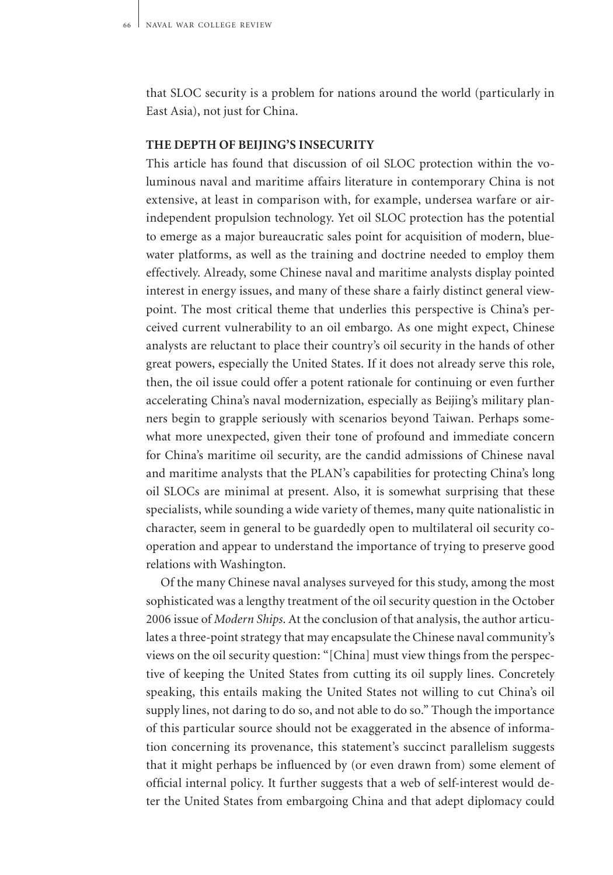that SLOC security is a problem for nations around the world (particularly in East Asia), not just for China.

### **The Depth of Beijing's Insecurity**

This article has found that discussion of oil SLOC protection within the voluminous naval and maritime affairs literature in contemporary China is not extensive, at least in comparison with, for example, undersea warfare or airindependent propulsion technology. Yet oil SLOC protection has the potential to emerge as a major bureaucratic sales point for acquisition of modern, bluewater platforms, as well as the training and doctrine needed to employ them effectively. Already, some Chinese naval and maritime analysts display pointed interest in energy issues, and many of these share a fairly distinct general viewpoint. The most critical theme that underlies this perspective is China's perceived current vulnerability to an oil embargo. As one might expect, Chinese analysts are reluctant to place their country's oil security in the hands of other great powers, especially the United States. If it does not already serve this role, then, the oil issue could offer a potent rationale for continuing or even further accelerating China's naval modernization, especially as Beijing's military planners begin to grapple seriously with scenarios beyond Taiwan. Perhaps somewhat more unexpected, given their tone of profound and immediate concern for China's maritime oil security, are the candid admissions of Chinese naval and maritime analysts that the PLAN's capabilities for protecting China's long oil SLOCs are minimal at present. Also, it is somewhat surprising that these specialists, while sounding a wide variety of themes, many quite nationalistic in character, seem in general to be guardedly open to multilateral oil security cooperation and appear to understand the importance of trying to preserve good relations with Washington.

Of the many Chinese naval analyses surveyed for this study, among the most sophisticated was a lengthy treatment of the oil security question in the October 2006 issue of *Modern Ships*. At the conclusion of that analysis, the author articulates a three-point strategy that may encapsulate the Chinese naval community's views on the oil security question: "[China] must view things from the perspective of keeping the United States from cutting its oil supply lines. Concretely speaking, this entails making the United States not willing to cut China's oil supply lines, not daring to do so, and not able to do so." Though the importance of this particular source should not be exaggerated in the absence of information concerning its provenance, this statement's succinct parallelism suggests that it might perhaps be influenced by (or even drawn from) some element of official internal policy. It further suggests that a web of self-interest would deter the United States from embargoing China and that adept diplomacy could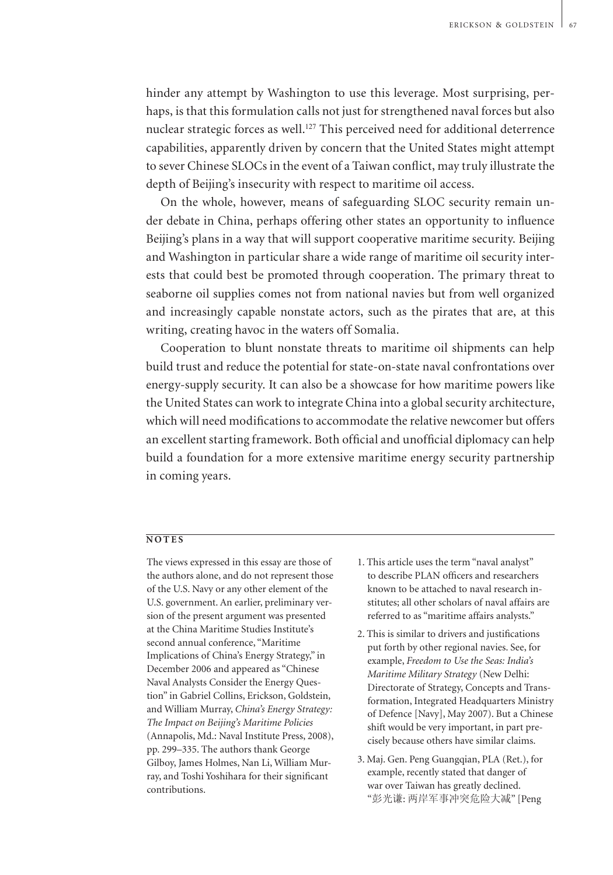hinder any attempt by Washington to use this leverage. Most surprising, perhaps, is that this formulation calls not just for strengthened naval forces but also nuclear strategic forces as well.<sup>127</sup> This perceived need for additional deterrence capabilities, apparently driven by concern that the United States might attempt to sever Chinese SLOCs in the event of a Taiwan conflict, may truly illustrate the depth of Beijing's insecurity with respect to maritime oil access.

On the whole, however, means of safeguarding SLOC security remain under debate in China, perhaps offering other states an opportunity to influence Beijing's plans in a way that will support cooperative maritime security. Beijing and Washington in particular share a wide range of maritime oil security interests that could best be promoted through cooperation. The primary threat to seaborne oil supplies comes not from national navies but from well organized and increasingly capable nonstate actors, such as the pirates that are, at this writing, creating havoc in the waters off Somalia.

Cooperation to blunt nonstate threats to maritime oil shipments can help build trust and reduce the potential for state-on-state naval confrontations over energy-supply security. It can also be a showcase for how maritime powers like the United States can work to integrate China into a global security architecture, which will need modifications to accommodate the relative newcomer but offers an excellent starting framework. Both official and unofficial diplomacy can help build a foundation for a more extensive maritime energy security partnership in coming years.

#### $\overline{NOTES}$

The views expressed in this essay are those of the authors alone, and do not represent those of the U.S. Navy or any other element of the U.S. government. An earlier, preliminary version of the present argument was presented at the China Maritime Studies Institute's second annual conference, "Maritime Implications of China's Energy Strategy," in December 2006 and appeared as "Chinese Naval Analysts Consider the Energy Question" in Gabriel Collins, Erickson, Goldstein, and William Murray, *China's Energy Strategy: The Impact on Beijing's Maritime Policies* (Annapolis, Md.: Naval Institute Press, 2008), pp. 299–335. The authors thank George Gilboy, James Holmes, Nan Li, William Murray, and Toshi Yoshihara for their significant contributions.

- 1. This article uses the term "naval analyst" to describe PLAN officers and researchers known to be attached to naval research institutes; all other scholars of naval affairs are referred to as "maritime affairs analysts."
- 2. This is similar to drivers and justifications put forth by other regional navies. See, for example, *Freedom to Use the Seas: India's Maritime Military Strategy* (New Delhi: Directorate of Strategy, Concepts and Transformation, Integrated Headquarters Ministry of Defence [Navy], May 2007). But a Chinese shift would be very important, in part precisely because others have similar claims.
- 3. Maj. Gen. Peng Guangqian, PLA (Ret.), for example, recently stated that danger of war over Taiwan has greatly declined. "彭光谦: 两岸军事冲突危险大减" [Peng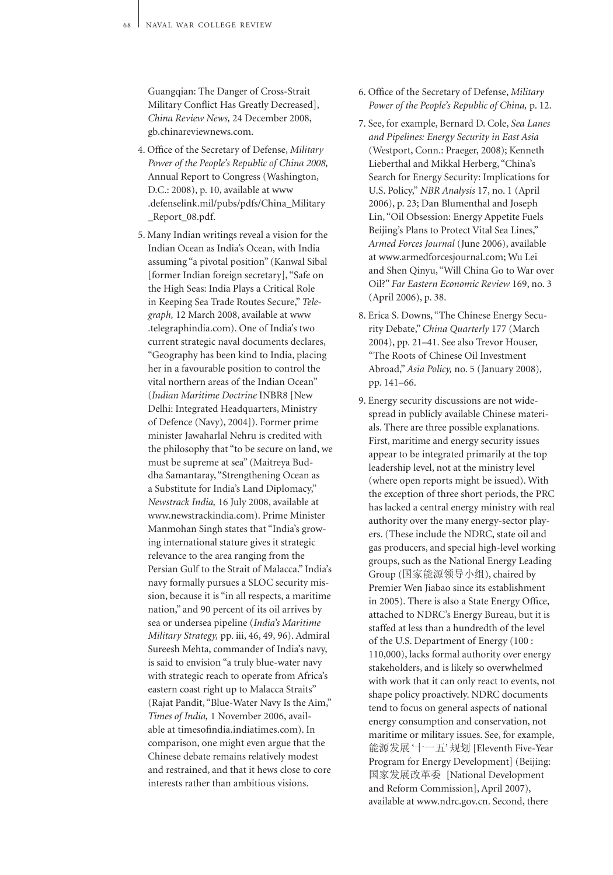Guangqian: The Danger of Cross-Strait Military Conflict Has Greatly Decreased], *China Review News,* 24 December 2008, gb.chinareviewnews.com.

- 4. Office of the Secretary of Defense, *Military Power of the People's Republic of China 2008,* Annual Report to Congress (Washington, D.C.: 2008), p. 10, available at www .defenselink.mil/pubs/pdfs/China\_Military \_Report\_08.pdf.
- 5. Many Indian writings reveal a vision for the Indian Ocean as India's Ocean, with India assuming "a pivotal position" (Kanwal Sibal [former Indian foreign secretary], "Safe on the High Seas: India Plays a Critical Role in Keeping Sea Trade Routes Secure," *Telegraph,* 12 March 2008, available at www .telegraphindia.com). One of India's two current strategic naval documents declares, "Geography has been kind to India, placing her in a favourable position to control the vital northern areas of the Indian Ocean" (*Indian Maritime Doctrine* INBR8 [New Delhi: Integrated Headquarters, Ministry of Defence (Navy), 2004]). Former prime minister Jawaharlal Nehru is credited with the philosophy that "to be secure on land, we must be supreme at sea" (Maitreya Buddha Samantaray, "Strengthening Ocean as a Substitute for India's Land Diplomacy," *Newstrack India,* 16 July 2008, available at www.newstrackindia.com). Prime Minister Manmohan Singh states that "India's growing international stature gives it strategic relevance to the area ranging from the Persian Gulf to the Strait of Malacca." India's navy formally pursues a SLOC security mission, because it is "in all respects, a maritime nation," and 90 percent of its oil arrives by sea or undersea pipeline (*India's Maritime Military Strategy,* pp. iii, 46, 49, 96). Admiral Sureesh Mehta, commander of India's navy, is said to envision "a truly blue-water navy with strategic reach to operate from Africa's eastern coast right up to Malacca Straits" (Rajat Pandit, "Blue-Water Navy Is the Aim," *Times of India,* 1 November 2006, available at timesofindia.indiatimes.com). In comparison, one might even argue that the Chinese debate remains relatively modest and restrained, and that it hews close to core interests rather than ambitious visions.
- 6. Office of the Secretary of Defense, *Military Power of the People's Republic of China,* p. 12.
- 7. See, for example, Bernard D. Cole, *Sea Lanes and Pipelines: Energy Security in East Asia*  (Westport, Conn.: Praeger, 2008); Kenneth Lieberthal and Mikkal Herberg, "China's Search for Energy Security: Implications for U.S. Policy," *NBR Analysis* 17, no. 1 (April 2006), p. 23; Dan Blumenthal and Joseph Lin, "Oil Obsession: Energy Appetite Fuels Beijing's Plans to Protect Vital Sea Lines," *Armed Forces Journal* (June 2006), available at www.armedforcesjournal.com; Wu Lei and Shen Qinyu, "Will China Go to War over Oil?" *Far Eastern Economic Review* 169, no. 3 (April 2006), p. 38.
- 8. Erica S. Downs, "The Chinese Energy Security Debate," *China Quarterly* 177 (March 2004), pp. 21–41. See also Trevor Houser, "The Roots of Chinese Oil Investment Abroad," *Asia Policy,* no. 5 (January 2008), pp. 141–66.
- 9. Energy security discussions are not widespread in publicly available Chinese materials. There are three possible explanations. First, maritime and energy security issues appear to be integrated primarily at the top leadership level, not at the ministry level (where open reports might be issued). With the exception of three short periods, the PRC has lacked a central energy ministry with real authority over the many energy-sector players. (These include the NDRC, state oil and gas producers, and special high-level working groups, such as the National Energy Leading Group (国家能源领导小组), chaired by Premier Wen Jiabao since its establishment in 2005). There is also a State Energy Office, attached to NDRC's Energy Bureau, but it is staffed at less than a hundredth of the level of the U.S. Department of Energy (100 : 110,000), lacks formal authority over energy stakeholders, and is likely so overwhelmed with work that it can only react to events, not shape policy proactively. NDRC documents tend to focus on general aspects of national energy consumption and conservation, not maritime or military issues. See, for example, 能源发展 '十一五' 规划 [Eleventh Five-Year Program for Energy Development] (Beijing: 国家发展改革委 [National Development and Reform Commission], April 2007), available at www.ndrc.gov.cn. Second, there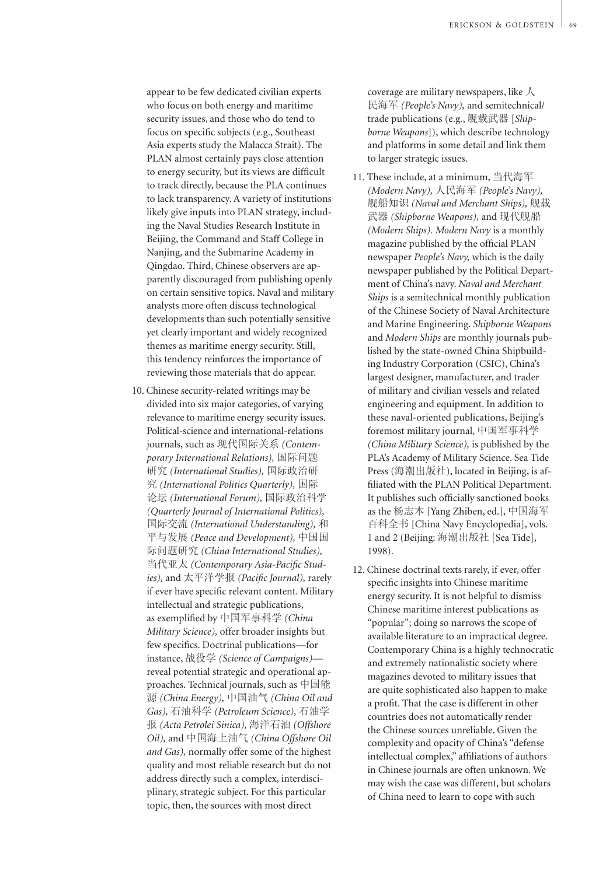appear to be few dedicated civilian experts who focus on both energy and maritime security issues, and those who do tend to focus on specific subjects (e.g., Southeast Asia experts study the Malacca Strait). The PLAN almost certainly pays close attention to energy security, but its views are difficult to track directly, because the PLA continues to lack transparency. A variety of institutions likely give inputs into PLAN strategy, including the Naval Studies Research Institute in Beijing, the Command and Staff College in Nanjing, and the Submarine Academy in Qingdao. Third, Chinese observers are apparently discouraged from publishing openly on certain sensitive topics. Naval and military analysts more often discuss technological developments than such potentially sensitive yet clearly important and widely recognized themes as maritime energy security. Still, this tendency reinforces the importance of reviewing those materials that do appear.

10. Chinese security-related writings may be divided into six major categories, of varying relevance to maritime energy security issues. Political-science and international-relations journals, such as 现代国际关系 *(Contemporary International Relations),* 国际问题 研究 *(International Studies),* 国际政治研 究 *(International Politics Quarterly),* 国际 论坛 *(International Forum),* 国际政治科学 *(Quarterly Journal of International Politics),* 国际交流 *(International Understanding),* 和 平与发展 *(Peace and Development),* 中国国 际问题研究 *(China International Studies),* 当代亚太 *(Contemporary Asia-Pacific Studies),* and 太平洋学报 *(Pacific Journal),* rarely if ever have specific relevant content. Military intellectual and strategic publications, as exemplified by 中国军事科学 *(China Military Science),* offer broader insights but few specifics. Doctrinal publications—for instance, 战役学 *(Science of Campaigns)* reveal potential strategic and operational approaches. Technical journals, such as 中国能 源 *(China Energy),* 中国油气 *(China Oil and Gas),* 石油科学 *(Petroleum Science),* 石油学 报 *(Acta Petrolei Sinica),* 海洋石油 *(Offshore Oil),* and 中国海上油气 *(China Offshore Oil and Gas),* normally offer some of the highest quality and most reliable research but do not address directly such a complex, interdisciplinary, strategic subject. For this particular topic, then, the sources with most direct

coverage are military newspapers, like  $\lambda$ 民海军 *(People's Navy),* and semitechnical/ trade publications (e.g., 舰载武器 [*Shipborne Weapons*]), which describe technology and platforms in some detail and link them to larger strategic issues.

- 11. These include, at a minimum, 当代海军 *(Modern Navy),* 人民海军 *(People's Navy),* 舰船知识 *(Naval and Merchant Ships),* 舰载 武器 *(Shipborne Weapons),* and 现代舰船 *(Modern Ships). Modern Navy* is a monthly magazine published by the official PLAN newspaper *People's Navy,* which is the daily newspaper published by the Political Department of China's navy. *Naval and Merchant Ships* is a semitechnical monthly publication of the Chinese Society of Naval Architecture and Marine Engineering. *Shipborne Weapons*  and *Modern Ships* are monthly journals published by the state-owned China Shipbuilding Industry Corporation (CSIC), China's largest designer, manufacturer, and trader of military and civilian vessels and related engineering and equipment. In addition to these naval-oriented publications, Beijing's foremost military journal, 中国军事科学 *(China Military Science),* is published by the PLA's Academy of Military Science. Sea Tide Press (海潮出版社), located in Beijing, is affiliated with the PLAN Political Department. It publishes such officially sanctioned books as the 杨志本 [Yang Zhiben, ed.], 中国海军 百科全书 [China Navy Encyclopedia], vols. 1 and 2 (Beijing: 海潮出版社 [Sea Tide], 1998).
- 12. Chinese doctrinal texts rarely, if ever, offer specific insights into Chinese maritime energy security. It is not helpful to dismiss Chinese maritime interest publications as "popular"; doing so narrows the scope of available literature to an impractical degree. Contemporary China is a highly technocratic and extremely nationalistic society where magazines devoted to military issues that are quite sophisticated also happen to make a profit. That the case is different in other countries does not automatically render the Chinese sources unreliable. Given the complexity and opacity of China's "defense intellectual complex," affiliations of authors in Chinese journals are often unknown. We may wish the case was different, but scholars of China need to learn to cope with such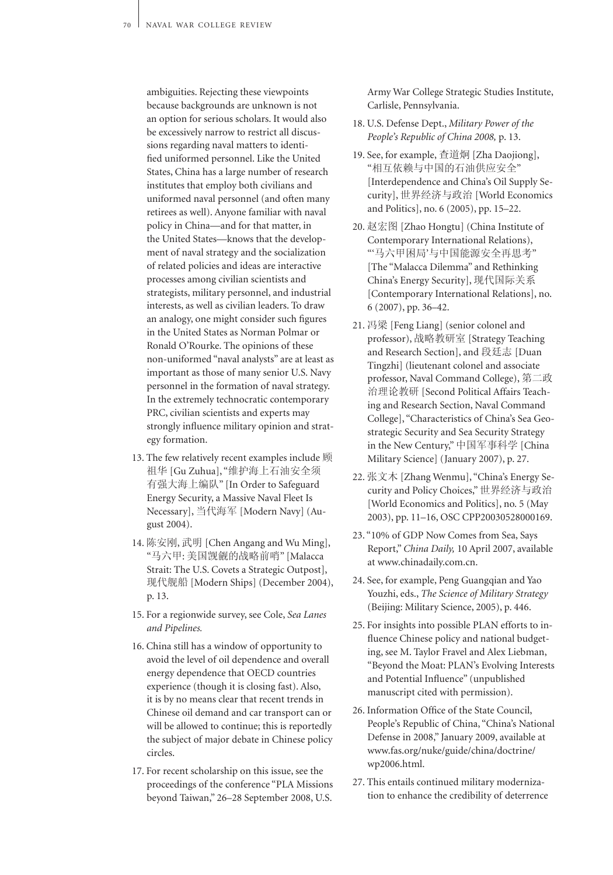ambiguities. Rejecting these viewpoints because backgrounds are unknown is not an option for serious scholars. It would also be excessively narrow to restrict all discussions regarding naval matters to identified uniformed personnel. Like the United States, China has a large number of research institutes that employ both civilians and uniformed naval personnel (and often many retirees as well). Anyone familiar with naval policy in China—and for that matter, in the United States—knows that the development of naval strategy and the socialization of related policies and ideas are interactive processes among civilian scientists and strategists, military personnel, and industrial interests, as well as civilian leaders. To draw an analogy, one might consider such figures in the United States as Norman Polmar or Ronald O'Rourke. The opinions of these non-uniformed "naval analysts" are at least as important as those of many senior U.S. Navy personnel in the formation of naval strategy. In the extremely technocratic contemporary PRC, civilian scientists and experts may strongly influence military opinion and strategy formation.

- 13. The few relatively recent examples include 顾 祖华 [Gu Zuhua], "维护海上石油安全须 有强大海上编队" [In Order to Safeguard Energy Security, a Massive Naval Fleet Is Necessary], 当代海军 [Modern Navy] (August 2004).
- 14. 陈安刚, 武明 [Chen Angang and Wu Ming], "马六甲: 美国觊觎的战略前哨" [Malacca Strait: The U.S. Covets a Strategic Outpost], 现代舰船 [Modern Ships] (December 2004), p. 13.
- 15. For a regionwide survey, see Cole, *Sea Lanes and Pipelines.*
- 16. China still has a window of opportunity to avoid the level of oil dependence and overall energy dependence that OECD countries experience (though it is closing fast). Also, it is by no means clear that recent trends in Chinese oil demand and car transport can or will be allowed to continue; this is reportedly the subject of major debate in Chinese policy circles.
- 17. For recent scholarship on this issue, see the proceedings of the conference "PLA Missions beyond Taiwan," 26–28 September 2008, U.S.

Army War College Strategic Studies Institute, Carlisle, Pennsylvania.

- 18. U.S. Defense Dept., *Military Power of the People's Republic of China 2008,* p. 13.
- 19. See, for example, 查道炯 [Zha Daojiong], "相互依赖与中国的石油供应安全" [Interdependence and China's Oil Supply Security], 世界经济与政治 [World Economics and Politics], no. 6 (2005), pp. 15–22.
- 20. 赵宏图 [Zhao Hongtu] (China Institute of Contemporary International Relations), "'马六甲困局'与中国能源安全再思考" [The "Malacca Dilemma" and Rethinking China's Energy Security], 现代国际关系 [Contemporary International Relations], no. 6 (2007), pp. 36–42.
- 21. 冯梁 [Feng Liang] (senior colonel and professor), 战略教研室 [Strategy Teaching and Research Section], and 段廷志 [Duan Tingzhi] (lieutenant colonel and associate professor, Naval Command College), 第二政 治理论教研 [Second Political Affairs Teaching and Research Section, Naval Command College], "Characteristics of China's Sea Geostrategic Security and Sea Security Strategy in the New Century," 中国军事科学 [China Military Science] (January 2007), p. 27.
- 22. 张文木 [Zhang Wenmu], "China's Energy Security and Policy Choices," 世界经济与政治 [World Economics and Politics], no. 5 (May 2003), pp. 11–16, OSC CPP20030528000169.
- 23. "10% of GDP Now Comes from Sea, Says Report," *China Daily,* 10 April 2007, available at www.chinadaily.com.cn.
- 24. See, for example, Peng Guangqian and Yao Youzhi, eds., *The Science of Military Strategy* (Beijing: Military Science, 2005), p. 446.
- 25. For insights into possible PLAN efforts to influence Chinese policy and national budgeting, see M. Taylor Fravel and Alex Liebman, "Beyond the Moat: PLAN's Evolving Interests and Potential Influence" (unpublished manuscript cited with permission).
- 26. Information Office of the State Council, People's Republic of China, "China's National Defense in 2008," January 2009, available at www.fas.org/nuke/guide/china/doctrine/ wp2006.html.
- 27. This entails continued military modernization to enhance the credibility of deterrence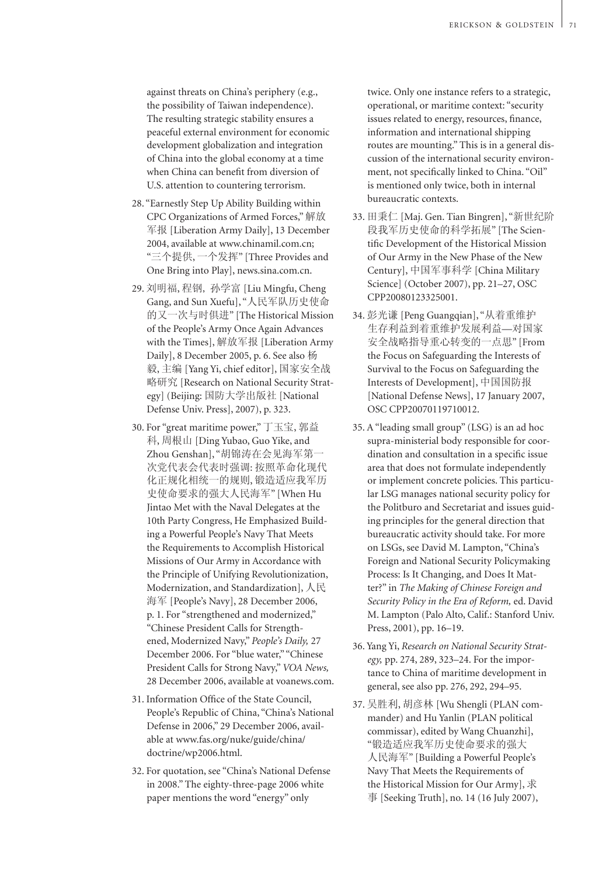against threats on China's periphery (e.g., the possibility of Taiwan independence). The resulting strategic stability ensures a peaceful external environment for economic development globalization and integration of China into the global economy at a time when China can benefit from diversion of U.S. attention to countering terrorism.

- 28. "Earnestly Step Up Ability Building within CPC Organizations of Armed Forces," 解放 军报 [Liberation Army Daily], 13 December 2004, available at www.chinamil.com.cn; "三个提供, 一个发挥" [Three Provides and One Bring into Play], news.sina.com.cn.
- 29. 刘明福, 程钢, 孙学富 [Liu Mingfu, Cheng Gang, and Sun Xuefu], "人民军队历史使命 的又一次与时俱进" [The Historical Mission of the People's Army Once Again Advances with the Times], 解放军报 [Liberation Army Daily], 8 December 2005, p. 6. See also 杨 毅, 主编 [Yang Yi, chief editor], 国家安全战 略研究 [Research on National Security Strategy] (Beijing: 国防大学出版社 [National Defense Univ. Press], 2007), p. 323.
- 30. For "great maritime power," 丁玉宝, 郭益 科, 周根山 [Ding Yubao, Guo Yike, and Zhou Genshan], "胡锦涛在会见海军第一 次党代表会代表时强调: 按照革命化现代 化正规化相统一的规则, 锻造适应我军历 史使命要求的强大人民海军" [When Hu Jintao Met with the Naval Delegates at the 10th Party Congress, He Emphasized Building a Powerful People's Navy That Meets the Requirements to Accomplish Historical Missions of Our Army in Accordance with the Principle of Unifying Revolutionization, Modernization, and Standardization], 人民 海军 [People's Navy], 28 December 2006, p. 1. For "strengthened and modernized," "Chinese President Calls for Strengthened, Modernized Navy," *People's Daily,* 27 December 2006. For "blue water," "Chinese President Calls for Strong Navy," *VOA News,*  28 December 2006, available at voanews.com.
- 31. Information Office of the State Council, People's Republic of China, "China's National Defense in 2006," 29 December 2006, available at www.fas.org/nuke/guide/china/ doctrine/wp2006.html.
- 32. For quotation, see "China's National Defense in 2008." The eighty-three-page 2006 white paper mentions the word "energy" only

twice. Only one instance refers to a strategic, operational, or maritime context: "security issues related to energy, resources, finance, information and international shipping routes are mounting." This is in a general discussion of the international security environment, not specifically linked to China. "Oil" is mentioned only twice, both in internal bureaucratic contexts.

- 33. 田秉仁 [Maj. Gen. Tian Bingren], "新世纪阶 段我军历史使命的科学拓展" [The Scientific Development of the Historical Mission of Our Army in the New Phase of the New Century], 中国军事科学 [China Military Science] (October 2007), pp. 21–27, OSC CPP20080123325001.
- 34. 彭光谦 [Peng Guangqian], "从着重维护 生存利益到着重维护发展利益—对国家 安全战略指导重心转变的一点思" [From the Focus on Safeguarding the Interests of Survival to the Focus on Safeguarding the Interests of Development], 中国国防报 [National Defense News], 17 January 2007, OSC CPP20070119710012.
- 35. A "leading small group" (LSG) is an ad hoc supra-ministerial body responsible for coordination and consultation in a specific issue area that does not formulate independently or implement concrete policies. This particular LSG manages national security policy for the Politburo and Secretariat and issues guiding principles for the general direction that bureaucratic activity should take. For more on LSGs, see David M. Lampton, "China's Foreign and National Security Policymaking Process: Is It Changing, and Does It Matter?" in *The Making of Chinese Foreign and Security Policy in the Era of Reform,* ed. David M. Lampton (Palo Alto, Calif.: Stanford Univ. Press, 2001), pp. 16–19.
- 36. Yang Yi, *Research on National Security Strategy,* pp. 274, 289, 323–24. For the importance to China of maritime development in general, see also pp. 276, 292, 294–95.
- 37. 吴胜利, 胡彦林 [Wu Shengli (PLAN commander) and Hu Yanlin (PLAN political commissar), edited by Wang Chuanzhi], "锻造适应我军历史使命要求的强大 人民海军" [Building a Powerful People's Navy That Meets the Requirements of the Historical Mission for Our Army], 求 事 [Seeking Truth], no. 14 (16 July 2007),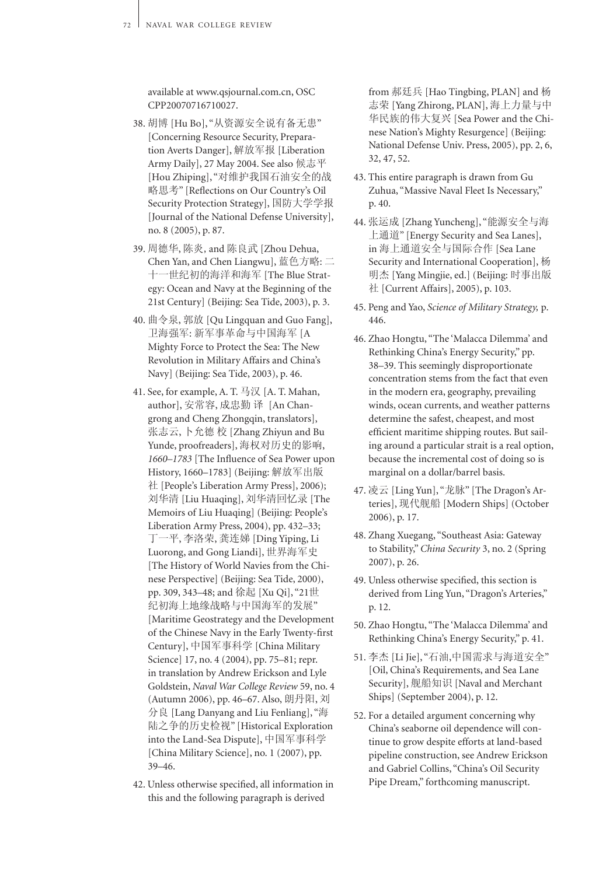available at www.qsjournal.com.cn, OSC CPP20070716710027.

- 38. 胡博 [Hu Bo], "从资源安全说有备无患" [Concerning Resource Security, Preparation Averts Danger], 解放军报 [Liberation Army Daily], 27 May 2004. See also 候志平 [Hou Zhiping], "对维护我国石油安全的战 略思考" [Reflections on Our Country's Oil Security Protection Strategy], 国防大学学报 [Journal of the National Defense University], no. 8 (2005), p. 87.
- 39. 周德华, 陈炎,and 陈良武 [Zhou Dehua, Chen Yan, and Chen Liangwu], 蓝色方略: 二 十一世纪初的海洋和海军 [The Blue Strategy: Ocean and Navy at the Beginning of the 21st Century] (Beijing: Sea Tide, 2003), p. 3.
- 40. 曲令泉, 郭放 [Qu Lingquan and Guo Fang], 卫海强军: 新军事革命与中国海军 [A Mighty Force to Protect the Sea: The New Revolution in Military Affairs and China's Navy] (Beijing: Sea Tide, 2003), p. 46.
- 41. See, for example, A. T. 马汉 [A. T. Mahan, author], 安常容, 成忠勤 译 [An Changrong and Cheng Zhongqin, translators], 张志云, 卜允德 校 [Zhang Zhiyun and Bu Yunde, proofreaders], 海权对历史的影响, *1660–1783* [The Influence of Sea Power upon History, 1660–1783] (Beijing: 解放军出版 社 [People's Liberation Army Press], 2006); 刘华清 [Liu Huaqing], 刘华清回忆录 [The Memoirs of Liu Huaqing] (Beijing: People's Liberation Army Press, 2004), pp. 432–33; 丁一平, 李洛荣, 龚连娣 [Ding Yiping, Li Luorong, and Gong Liandi], 世界海军史 [The History of World Navies from the Chinese Perspective] (Beijing: Sea Tide, 2000), pp. 309, 343–48; and 徐起 [Xu Qi], "21世 纪初海上地缘战略与中国海军的发展" [Maritime Geostrategy and the Development of the Chinese Navy in the Early Twenty-first Century], 中国军事科学 [China Military Science] 17, no. 4 (2004), pp. 75–81; repr. in translation by Andrew Erickson and Lyle Goldstein, *Naval War College Review* 59, no. 4 (Autumn 2006), pp. 46–67. Also, 朗丹阳, 刘 分良 [Lang Danyang and Liu Fenliang], "海 陆之争的历史检视" [Historical Exploration into the Land-Sea Dispute], 中国军事科学 [China Military Science], no. 1 (2007), pp. 39–46.
- 42. Unless otherwise specified, all information in this and the following paragraph is derived

from 郝廷兵 [Hao Tingbing, PLAN] and 杨 志荣 [Yang Zhirong, PLAN], 海上力量与中 华民族的伟大复兴 [Sea Power and the Chinese Nation's Mighty Resurgence] (Beijing: National Defense Univ. Press, 2005), pp. 2, 6, 32, 47, 52.

- 43. This entire paragraph is drawn from Gu Zuhua, "Massive Naval Fleet Is Necessary," p. 40.
- 44. 张运成 [Zhang Yuncheng], "能源安全与海 上通道" [Energy Security and Sea Lanes], in 海上通道安全与国际合作 [Sea Lane Security and International Cooperation], 杨 明杰 [Yang Mingjie, ed.] (Beijing: 时事出版 社 [Current Affairs], 2005), p. 103.
- 45. Peng and Yao, *Science of Military Strategy,* p. 446.
- 46. Zhao Hongtu, "The 'Malacca Dilemma' and Rethinking China's Energy Security," pp. 38–39. This seemingly disproportionate concentration stems from the fact that even in the modern era, geography, prevailing winds, ocean currents, and weather patterns determine the safest, cheapest, and most efficient maritime shipping routes. But sailing around a particular strait is a real option, because the incremental cost of doing so is marginal on a dollar/barrel basis.
- 47. 凌云 [Ling Yun], "龙脉" [The Dragon's Arteries], 现代舰船 [Modern Ships] (October 2006), p. 17.
- 48. Zhang Xuegang, "Southeast Asia: Gateway to Stability," *China Security* 3, no. 2 (Spring 2007), p. 26.
- 49. Unless otherwise specified, this section is derived from Ling Yun, "Dragon's Arteries," p. 12.
- 50. Zhao Hongtu, "The 'Malacca Dilemma' and Rethinking China's Energy Security," p. 41.
- 51. 李杰 [Li Jie], "石油,中国需求与海道安全" [Oil, China's Requirements, and Sea Lane Security], 舰船知识 [Naval and Merchant Ships] (September 2004), p. 12.
- 52. For a detailed argument concerning why China's seaborne oil dependence will continue to grow despite efforts at land-based pipeline construction, see Andrew Erickson and Gabriel Collins, "China's Oil Security Pipe Dream," forthcoming manuscript.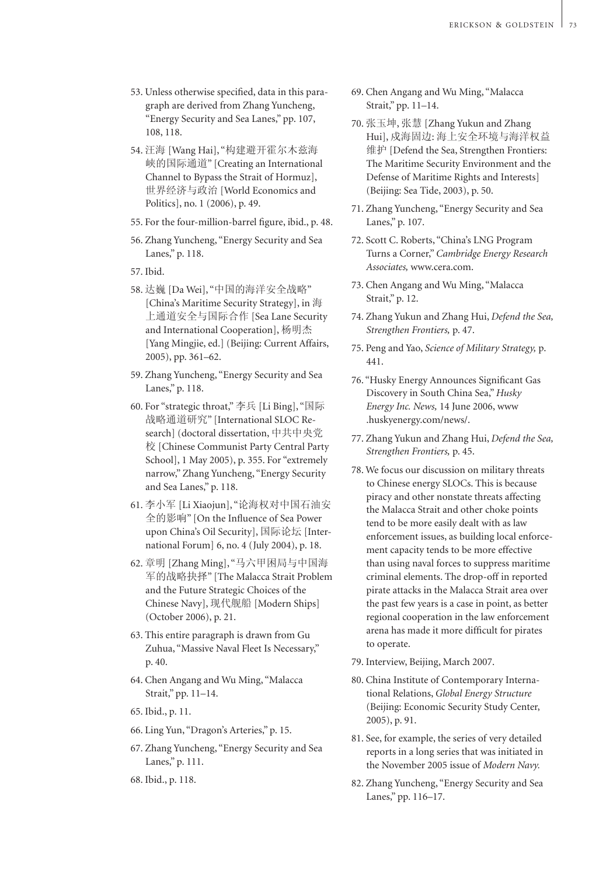- 53. Unless otherwise specified, data in this paragraph are derived from Zhang Yuncheng, "Energy Security and Sea Lanes," pp. 107, 108, 118.
- 54. 汪海 [Wang Hai], "构建避开霍尔木兹海 峡的国际通道" [Creating an International Channel to Bypass the Strait of Hormuz], 世界经济与政治 [World Economics and Politics], no. 1 (2006), p. 49.
- 55. For the four-million-barrel figure, ibid., p. 48.
- 56. Zhang Yuncheng, "Energy Security and Sea Lanes," p. 118.
- 57. Ibid.
- 58. 达巍 [Da Wei], "中国的海洋安全战略" [China's Maritime Security Strategy], in 海 上通道安全与国际合作 [Sea Lane Security and International Cooperation], 杨明杰 [Yang Mingjie, ed.] (Beijing: Current Affairs, 2005), pp. 361–62.
- 59. Zhang Yuncheng, "Energy Security and Sea Lanes," p. 118.
- 60. For "strategic throat," 李兵 [Li Bing], "国际 战略通道研究" [International SLOC Research] (doctoral dissertation, 中共中央党 校 [Chinese Communist Party Central Party School], 1 May 2005), p. 355. For "extremely narrow," Zhang Yuncheng, "Energy Security and Sea Lanes," p. 118.
- 61. 李小军 [Li Xiaojun], "论海权对中国石油安 全的影响" [On the Influence of Sea Power upon China's Oil Security], 国际论坛 [International Forum] 6, no. 4 (July 2004), p. 18.
- 62. 章明 [Zhang Ming], "马六甲困局与中国海 军的战略抉择" [The Malacca Strait Problem and the Future Strategic Choices of the Chinese Navy], 现代舰船 [Modern Ships] (October 2006), p. 21.
- 63. This entire paragraph is drawn from Gu Zuhua, "Massive Naval Fleet Is Necessary," p. 40.
- 64. Chen Angang and Wu Ming, "Malacca Strait," pp. 11–14.
- 65. Ibid., p. 11.
- 66. Ling Yun, "Dragon's Arteries," p. 15.
- 67. Zhang Yuncheng, "Energy Security and Sea Lanes," p. 111.
- 68. Ibid., p. 118.
- 69. Chen Angang and Wu Ming, "Malacca Strait," pp. 11–14.
- 70. 张玉坤, 张慧 [Zhang Yukun and Zhang Hui], 戍海固边: 海上安全环境与海洋权益 维护 [Defend the Sea, Strengthen Frontiers: The Maritime Security Environment and the Defense of Maritime Rights and Interests] (Beijing: Sea Tide, 2003), p. 50.
- 71. Zhang Yuncheng, "Energy Security and Sea Lanes," p. 107.
- 72. Scott C. Roberts, "China's LNG Program Turns a Corner," *Cambridge Energy Research Associates,* www.cera.com.
- 73. Chen Angang and Wu Ming, "Malacca Strait," p. 12.
- 74. Zhang Yukun and Zhang Hui, *Defend the Sea, Strengthen Frontiers,* p. 47.
- 75. Peng and Yao, *Science of Military Strategy,* p. 441.
- 76. "Husky Energy Announces Significant Gas Discovery in South China Sea," *Husky Energy Inc. News,* 14 June 2006, www .huskyenergy.com/news/.
- 77. Zhang Yukun and Zhang Hui, *Defend the Sea, Strengthen Frontiers,* p. 45.
- 78. We focus our discussion on military threats to Chinese energy SLOCs. This is because piracy and other nonstate threats affecting the Malacca Strait and other choke points tend to be more easily dealt with as law enforcement issues, as building local enforcement capacity tends to be more effective than using naval forces to suppress maritime criminal elements. The drop-off in reported pirate attacks in the Malacca Strait area over the past few years is a case in point, as better regional cooperation in the law enforcement arena has made it more difficult for pirates to operate.
- 79. Interview, Beijing, March 2007.
- 80. China Institute of Contemporary International Relations, *Global Energy Structure* (Beijing: Economic Security Study Center, 2005), p. 91.
- 81. See, for example, the series of very detailed reports in a long series that was initiated in the November 2005 issue of *Modern Navy.*
- 82. Zhang Yuncheng, "Energy Security and Sea Lanes," pp. 116–17.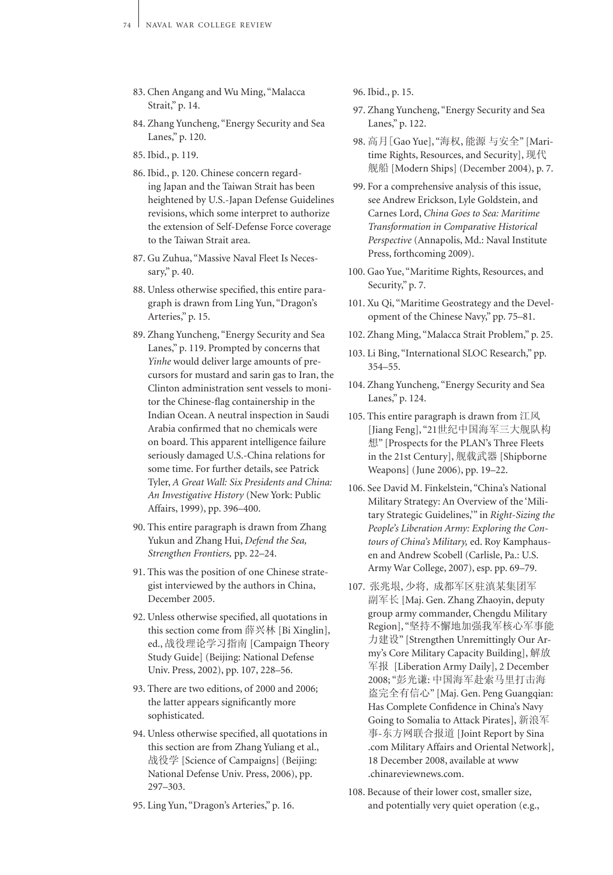- 83. Chen Angang and Wu Ming, "Malacca Strait," p. 14.
- 84. Zhang Yuncheng, "Energy Security and Sea Lanes," p. 120.
- 85. Ibid., p. 119.
- 86. Ibid., p. 120. Chinese concern regarding Japan and the Taiwan Strait has been heightened by U.S.-Japan Defense Guidelines revisions, which some interpret to authorize the extension of Self-Defense Force coverage to the Taiwan Strait area.
- 87. Gu Zuhua, "Massive Naval Fleet Is Necessary," p. 40.
- 88. Unless otherwise specified, this entire paragraph is drawn from Ling Yun, "Dragon's Arteries," p. 15.
- 89. Zhang Yuncheng, "Energy Security and Sea Lanes," p. 119. Prompted by concerns that *Yinhe* would deliver large amounts of precursors for mustard and sarin gas to Iran, the Clinton administration sent vessels to monitor the Chinese-flag containership in the Indian Ocean. A neutral inspection in Saudi Arabia confirmed that no chemicals were on board. This apparent intelligence failure seriously damaged U.S.-China relations for some time. For further details, see Patrick Tyler, *A Great Wall: Six Presidents and China: An Investigative History* (New York: Public Affairs, 1999), pp. 396–400.
- 90. This entire paragraph is drawn from Zhang Yukun and Zhang Hui, *Defend the Sea, Strengthen Frontiers,* pp. 22–24.
- 91. This was the position of one Chinese strategist interviewed by the authors in China, December 2005.
- 92. Unless otherwise specified, all quotations in this section come from 薛兴林 [Bi Xinglin], ed., 战役理论学习指南 [Campaign Theory Study Guide] (Beijing: National Defense Univ. Press, 2002), pp. 107, 228–56.
- 93. There are two editions, of 2000 and 2006; the latter appears significantly more sophisticated.
- 94. Unless otherwise specified, all quotations in this section are from Zhang Yuliang et al., 战役学 [Science of Campaigns] (Beijing: National Defense Univ. Press, 2006), pp. 297–303.
- 95. Ling Yun, "Dragon's Arteries," p. 16.
- 96. Ibid., p. 15.
- 97. Zhang Yuncheng, "Energy Security and Sea Lanes," p. 122.
- 98. 高月[Gao Yue], "海权, 能源 与安全" [Maritime Rights, Resources, and Security], 现代 舰船 [Modern Ships] (December 2004), p. 7.
- 99. For a comprehensive analysis of this issue, see Andrew Erickson, Lyle Goldstein, and Carnes Lord, *China Goes to Sea: Maritime Transformation in Comparative Historical Perspective* (Annapolis, Md.: Naval Institute Press, forthcoming 2009).
- 100. Gao Yue, "Maritime Rights, Resources, and Security," p. 7.
- 101. Xu Qi, "Maritime Geostrategy and the Development of the Chinese Navy," pp. 75–81.
- 102. Zhang Ming, "Malacca Strait Problem," p. 25.
- 103. Li Bing, "International SLOC Research," pp. 354–55.
- 104. Zhang Yuncheng, "Energy Security and Sea Lanes," p. 124.
- 105. This entire paragraph is drawn from 江风 [Jiang Feng], "21世纪中国海军三大舰队构 想" [Prospects for the PLAN's Three Fleets in the 21st Century], 舰载武器 [Shipborne Weapons] (June 2006), pp. 19–22.
- 106. See David M. Finkelstein, "China's National Military Strategy: An Overview of the 'Military Strategic Guidelines,'" in *Right-Sizing the People's Liberation Army: Exploring the Contours of China's Military,* ed. Roy Kamphausen and Andrew Scobell (Carlisle, Pa.: U.S. Army War College, 2007), esp. pp. 69–79.
- 107. 张兆垠, 少将, 成都军区驻滇某集团军 副军长 [Maj. Gen. Zhang Zhaoyin, deputy group army commander, Chengdu Military Region], "坚持不懈地加强我军核心军事能 力建设" [Strengthen Unremittingly Our Army's Core Military Capacity Building], 解放 军报 [Liberation Army Daily], 2 December 2008; "彭光谦: 中国海军赴索马里打击海 盗完全有信心" [Maj. Gen. Peng Guangqian: Has Complete Confidence in China's Navy Going to Somalia to Attack Pirates], 新浪军 事-东方网联合报道 [Joint Report by Sina .com Military Affairs and Oriental Network], 18 December 2008, available at www .chinareviewnews.com.
- 108. Because of their lower cost, smaller size, and potentially very quiet operation (e.g.,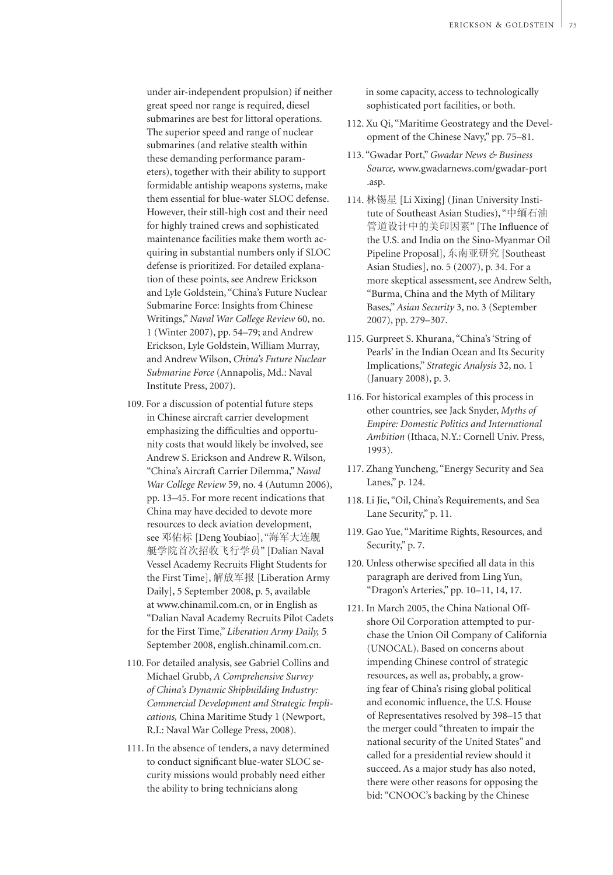under air-independent propulsion) if neither great speed nor range is required, diesel submarines are best for littoral operations. The superior speed and range of nuclear submarines (and relative stealth within these demanding performance parameters), together with their ability to support formidable antiship weapons systems, make them essential for blue-water SLOC defense. However, their still-high cost and their need for highly trained crews and sophisticated maintenance facilities make them worth acquiring in substantial numbers only if SLOC defense is prioritized. For detailed explanation of these points, see Andrew Erickson and Lyle Goldstein, "China's Future Nuclear Submarine Force: Insights from Chinese Writings," *Naval War College Review* 60, no. 1 (Winter 2007), pp. 54–79; and Andrew Erickson, Lyle Goldstein, William Murray, and Andrew Wilson, *China's Future Nuclear Submarine Force* (Annapolis, Md.: Naval Institute Press, 2007).

- 109. For a discussion of potential future steps in Chinese aircraft carrier development emphasizing the difficulties and opportunity costs that would likely be involved, see Andrew S. Erickson and Andrew R. Wilson, "China's Aircraft Carrier Dilemma," *Naval War College Review* 59, no. 4 (Autumn 2006), pp. 13–45. For more recent indications that China may have decided to devote more resources to deck aviation development, see 邓佑标 [Deng Youbiao], "海军大连舰 艇学院首次招收飞行学员" [Dalian Naval Vessel Academy Recruits Flight Students for the First Time], 解放军报 [Liberation Army Daily], 5 September 2008, p. 5, available at www.chinamil.com.cn, or in English as "Dalian Naval Academy Recruits Pilot Cadets for the First Time," *Liberation Army Daily,* 5 September 2008, english.chinamil.com.cn.
- 110. For detailed analysis, see Gabriel Collins and Michael Grubb, *A Comprehensive Survey of China's Dynamic Shipbuilding Industry: Commercial Development and Strategic Implications,* China Maritime Study 1 (Newport, R.I.: Naval War College Press, 2008).
- 111. In the absence of tenders, a navy determined to conduct significant blue-water SLOC security missions would probably need either the ability to bring technicians along

 in some capacity, access to technologically sophisticated port facilities, or both.

- 112. Xu Qi, "Maritime Geostrategy and the Development of the Chinese Navy," pp. 75–81.
- 113. "Gwadar Port," *Gwadar News & Business Source,* www.gwadarnews.com/gwadar-port .asp.
- 114. 林锡星 [Li Xixing] (Jinan University Institute of Southeast Asian Studies), "中缅石油 管道设计中的美印因素" [The Influence of the U.S. and India on the Sino-Myanmar Oil Pipeline Proposal], 东南亚研究 [Southeast Asian Studies], no. 5 (2007), p. 34. For a more skeptical assessment, see Andrew Selth, "Burma, China and the Myth of Military Bases," *Asian Security* 3, no. 3 (September 2007), pp. 279–307.
- 115. Gurpreet S. Khurana, "China's 'String of Pearls' in the Indian Ocean and Its Security Implications," *Strategic Analysis* 32, no. 1 (January 2008), p. 3.
- 116. For historical examples of this process in other countries, see Jack Snyder, *Myths of Empire: Domestic Politics and International Ambition* (Ithaca, N.Y.: Cornell Univ. Press, 1993).
- 117. Zhang Yuncheng, "Energy Security and Sea Lanes," p. 124.
- 118. Li Jie, "Oil, China's Requirements, and Sea Lane Security," p. 11.
- 119. Gao Yue, "Maritime Rights, Resources, and Security," p. 7.
- 120. Unless otherwise specified all data in this paragraph are derived from Ling Yun, "Dragon's Arteries," pp. 10–11, 14, 17.
- 121. In March 2005, the China National Offshore Oil Corporation attempted to purchase the Union Oil Company of California (UNOCAL). Based on concerns about impending Chinese control of strategic resources, as well as, probably, a growing fear of China's rising global political and economic influence, the U.S. House of Representatives resolved by 398–15 that the merger could "threaten to impair the national security of the United States" and called for a presidential review should it succeed. As a major study has also noted, there were other reasons for opposing the bid: "CNOOC's backing by the Chinese